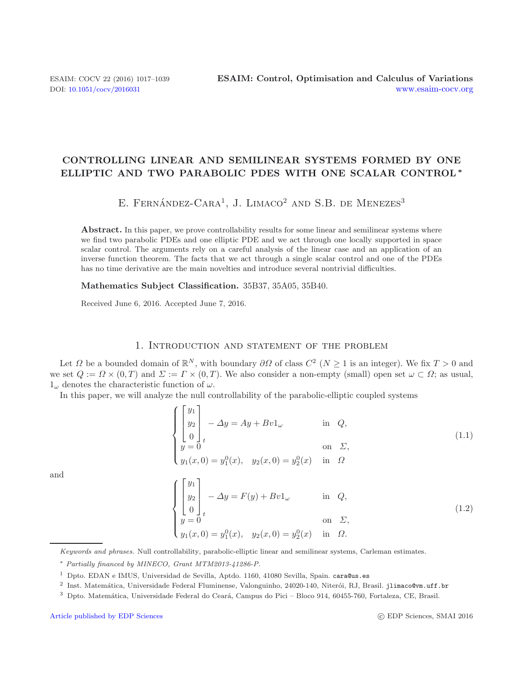# **CONTROLLING LINEAR AND SEMILINEAR SYSTEMS FORMED BY ONE ELLIPTIC AND TWO PARABOLIC PDES WITH ONE SCALAR CONTROL***∗*

E. FERNÁNDEZ-CARA<sup>1</sup>, J. LIMACO<sup>2</sup> AND S.B. DE MENEZES<sup>3</sup>

Abstract. In this paper, we prove controllability results for some linear and semilinear systems where we find two parabolic PDEs and one elliptic PDE and we act through one locally supported in space scalar control. The arguments rely on a careful analysis of the linear case and an application of an inverse function theorem. The facts that we act through a single scalar control and one of the PDEs has no time derivative are the main novelties and introduce several nontrivial difficulties.

**Mathematics Subject Classification.** 35B37, 35A05, 35B40.

Received June 6, 2016. Accepted June 7, 2016.

#### 1. Introduction and statement of the problem

<span id="page-0-2"></span><span id="page-0-1"></span>Let  $\Omega$  be a bounded domain of  $\mathbb{R}^N$ , with boundary  $\partial\Omega$  of class  $C^2$  ( $N \geq 1$  is an integer). We fix  $T > 0$  and we set  $Q := \Omega \times (0,T)$  and  $\Sigma := \Gamma \times (0,T)$ . We also consider a non-empty (small) open set  $\omega \subset \Omega$ ; as usual,  $1<sub>\omega</sub>$  denotes the characteristic function of  $\omega$ .

In this paper, we will analyze the null controllability of the parabolic-elliptic coupled systems

<span id="page-0-0"></span>
$$
\begin{cases}\n\begin{bmatrix}\ny_1 \\
y_2 \\
0 \\
0\n\end{bmatrix}_t - \Delta y = Ay + Bv1_\omega & \text{in } Q, \\
y = 0 & \text{on } \Sigma, \\
y_1(x, 0) = y_1^0(x), \quad y_2(x, 0) = y_2^0(x) & \text{in } \Omega\n\end{cases}
$$
\n(1.1)

and

$$
\begin{cases}\n\begin{bmatrix}\ny_1 \\
y_2 \\
0\n\end{bmatrix}\n\end{cases}\n-\Delta y = F(y) + Bv1_\omega \n\text{ in } Q,\n\begin{cases}\n0, & \text{if } Q, \\
y = 0 & \text{if } Q, \\
y_1(x, 0) = y_1^0(x), & y_2(x, 0) = y_2^0(x) & \text{if } Q.\n\end{cases}
$$
\n(1.2)

*Keywords and phrases.* Null controllability, parabolic-elliptic linear and semilinear systems, Carleman estimates.

<sup>∗</sup> *Partially financed by MINECO, Grant MTM2013-41286-P.*

<sup>1</sup> Dpto. EDAN e IMUS, Universidad de Sevilla, Aptdo. 1160, 41080 Sevilla, Spain. cara@us.es

<sup>&</sup>lt;sup>2</sup> Inst. Matemática, Universidade Federal Fluminense, Valonguinho, 24020-140, Niterói, RJ, Brasil. jlimaco@vm.uff.br

<sup>&</sup>lt;sup>3</sup> Dpto. Matemática, Universidade Federal do Ceará, Campus do Pici – Bloco 914, 60455-760, Fortaleza, CE, Brasil.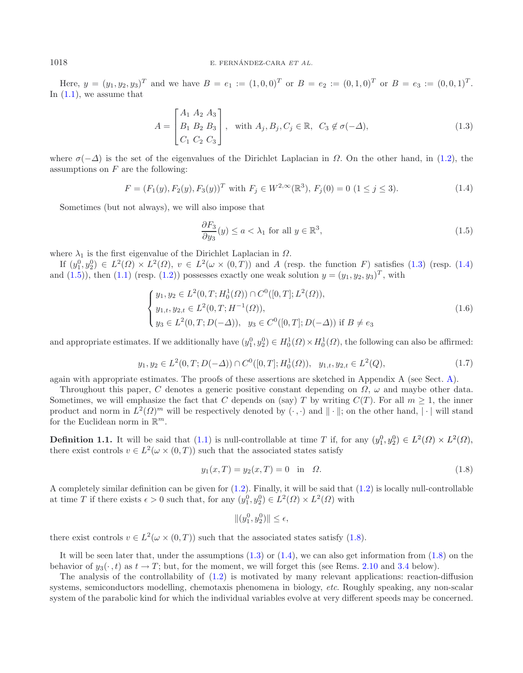Here,  $y = (y_1, y_2, y_3)^T$  and we have  $B = e_1 := (1, 0, 0)^T$  or  $B = e_2 := (0, 1, 0)^T$  or  $B = e_3 := (0, 0, 1)^T$ . In [\(1.1\)](#page-0-0), we assume that

<span id="page-1-2"></span><span id="page-1-1"></span>
$$
A = \begin{bmatrix} A_1 & A_2 & A_3 \\ B_1 & B_2 & B_3 \\ C_1 & C_2 & C_3 \end{bmatrix}, \text{ with } A_j, B_j, C_j \in \mathbb{R}, C_3 \notin \sigma(-\Delta),
$$
 (1.3)

where  $\sigma(-\Delta)$  is the set of the eigenvalues of the Dirichlet Laplacian in  $\Omega$ . On the other hand, in [\(1.2\)](#page-0-1), the assumptions on  $F$  are the following:

$$
F = (F_1(y), F_2(y), F_3(y))^T \text{ with } F_j \in W^{2,\infty}(\mathbb{R}^3), F_j(0) = 0 \ (1 \le j \le 3).
$$
 (1.4)

Sometimes (but not always), we will also impose that

<span id="page-1-4"></span><span id="page-1-3"></span>
$$
\frac{\partial F_3}{\partial y_3}(y) \le a < \lambda_1 \text{ for all } y \in \mathbb{R}^3,\tag{1.5}
$$

<span id="page-1-5"></span>where  $\lambda_1$  is the first eigenvalue of the Dirichlet Laplacian in  $\Omega$ .

If  $(y_1^0, y_2^0) \in L^2(\Omega) \times L^2(\Omega)$ ,  $v \in L^2(\omega \times (0,T))$  and A (resp. the function F) satisfies  $(1.3)$  (resp.  $(1.4)$ and [\(1.5\)](#page-1-2)), then [\(1.1\)](#page-0-0) (resp. [\(1.2\)](#page-0-1)) possesses exactly one weak solution  $y = (y_1, y_2, y_3)^T$ , with

$$
\begin{cases}\ny_1, y_2 \in L^2(0, T; H_0^1(\Omega)) \cap C^0([0, T]; L^2(\Omega)), \\
y_{1,t}, y_{2,t} \in L^2(0, T; H^{-1}(\Omega)), \\
y_3 \in L^2(0, T; D(-\Delta)), \quad y_3 \in C^0([0, T]; D(-\Delta)) \text{ if } B \neq e_3\n\end{cases}
$$
\n(1.6)

and appropriate estimates. If we additionally have  $(y_1^0, y_2^0) \in H_0^1(\Omega) \times H_0^1(\Omega)$ , the following can also be affirmed:

$$
y_1, y_2 \in L^2(0, T; D(-\Delta)) \cap C^0([0, T]; H_0^1(\Omega)), \quad y_{1,t}, y_{2,t} \in L^2(Q), \tag{1.7}
$$

again with appropriate estimates. The proofs of these assertions are sketched in Appendix A (see Sect. [A\)](#page-0-2).

Throughout this paper, C denotes a generic positive constant depending on  $\Omega$ ,  $\omega$  and maybe other data. Sometimes, we will emphasize the fact that C depends on (say) T by writing  $C(T)$ . For all  $m \geq 1$ , the inner product and norm in  $L^2(\Omega)^m$  will be respectively denoted by  $(\cdot, \cdot)$  and  $\|\cdot\|$ ; on the other hand,  $|\cdot|$  will stand for the Euclidean norm in  $\mathbb{R}^m$ .

**Definition 1.1.** It will be said that [\(1.1\)](#page-0-0) is null-controllable at time T if, for any  $(y_1^0, y_2^0) \in L^2(\Omega) \times L^2(\Omega)$ , there exist controls  $v \in L^2(\omega \times (0,T))$  such that the associated states satisfy

$$
y_1(x,T) = y_2(x,T) = 0 \text{ in } \Omega. \tag{1.8}
$$

A completely similar definition can be given for [\(1.2\)](#page-0-1). Finally, it will be said that [\(1.2\)](#page-0-1) is locally null-controllable at time T if there exists  $\epsilon > 0$  such that, for any  $(y_1^0, y_2^0) \in L^2(\Omega) \times L^2(\Omega)$  with

$$
||(y_1^0, y_2^0)|| \le \epsilon,
$$

there exist controls  $v \in L^2(\omega \times (0,T))$  such that the associated states satisfy [\(1.8\)](#page-1-3).

It will be seen later that, under the assumptions  $(1.3)$  or  $(1.4)$ , we can also get information from  $(1.8)$  on the behavior of  $y_3(\cdot, t)$  as  $t \to T$ ; but, for the moment, we will forget this (see Rems. [2.10](#page-9-0) and [3.4](#page-15-0) below).

The analysis of the controllability of [\(1.2\)](#page-0-1) is motivated by many relevant applications: reaction-diffusion systems, semiconductors modelling, chemotaxis phenomena in biology, *etc*. Roughly speaking, any non-scalar system of the parabolic kind for which the individual variables evolve at very different speeds may be concerned.

<span id="page-1-0"></span>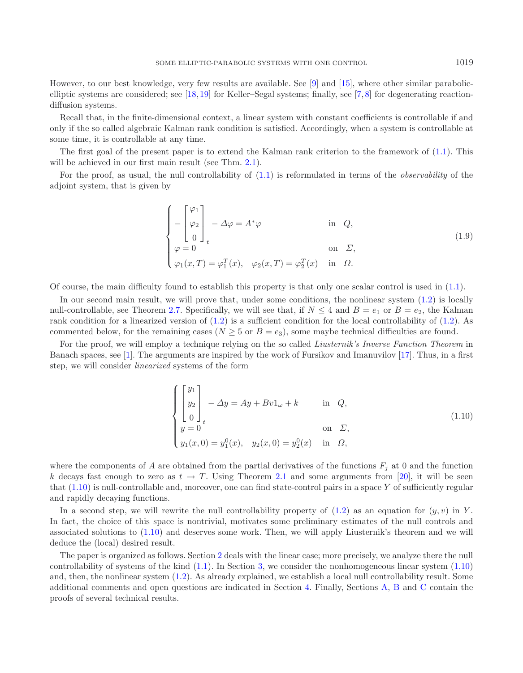<span id="page-2-1"></span>However, to our best knowledge, very few results are available. See [\[9](#page-22-0)] and [\[15\]](#page-22-1), where other similar parabolicelliptic systems are considered; see [\[18,](#page-22-2) [19\]](#page-22-3) for Keller–Segal systems; finally, see [\[7](#page-22-4), [8\]](#page-22-5) for degenerating reactiondiffusion systems.

Recall that, in the finite-dimensional context, a linear system with constant coefficients is controllable if and only if the so called algebraic Kalman rank condition is satisfied. Accordingly, when a system is controllable at some time, it is controllable at any time.

The first goal of the present paper is to extend the Kalman rank criterion to the framework of  $(1.1)$ . This will be achieved in our first main result (see Thm. [2.1\)](#page-3-0).

For the proof, as usual, the null controllability of [\(1.1\)](#page-0-0) is reformulated in terms of the *observability* of the adjoint system, that is given by

<span id="page-2-0"></span>
$$
\begin{cases}\n-\begin{bmatrix}\n\varphi_1 \\
\varphi_2 \\
0\n\end{bmatrix}_t - \Delta \varphi = A^* \varphi & \text{in } Q, \\
\varphi = 0 & \text{on } \Sigma, \\
\varphi_1(x, T) = \varphi_1^T(x), \quad \varphi_2(x, T) = \varphi_2^T(x) & \text{in } \Omega.\n\end{cases}
$$
\n(1.9)

Of course, the main difficulty found to establish this property is that only one scalar control is used in  $(1.1)$ .

In our second main result, we will prove that, under some conditions, the nonlinear system [\(1.2\)](#page-0-1) is locally null-controllable, see Theorem [2.7.](#page-7-0) Specifically, we will see that, if  $N \leq 4$  and  $B = e_1$  or  $B = e_2$ , the Kalman rank condition for a linearized version of  $(1.2)$  is a sufficient condition for the local controllability of  $(1.2)$ . As commented below, for the remaining cases ( $N \geq 5$  or  $B = e_3$ ), some maybe technical difficulties are found.

For the proof, we will employ a technique relying on the so called *Liusternik's Inverse Function Theorem* in Banach spaces, see [\[1](#page-22-6)]. The arguments are inspired by the work of Fursikov and Imanuvilov [\[17](#page-22-7)]. Thus, in a first step, we will consider *linearized* systems of the form

$$
\begin{cases}\n\begin{bmatrix}\ny_1 \\
y_2 \\
0\n\end{bmatrix}\n\\
y = 0\n\end{cases} - \Delta y = Ay + Bv1_{\omega} + k \quad \text{in } Q, \\
y = 0 \quad \text{on } \Sigma, \\
y_1(x, 0) = y_1^0(x), \quad y_2(x, 0) = y_2^0(x) \quad \text{in } \Omega,\n\end{cases}
$$
\n(1.10)

where the components of A are obtained from the partial derivatives of the functions  $F_j$  at 0 and the function k decays fast enough to zero as  $t \to T$ . Using Theorem [2.1](#page-3-0) and some arguments from [\[20\]](#page-22-8), it will be seen that  $(1.10)$  is null-controllable and, moreover, one can find state-control pairs in a space Y of sufficiently regular and rapidly decaying functions.

In a second step, we will rewrite the null controllability property of  $(1.2)$  as an equation for  $(y, v)$  in Y. In fact, the choice of this space is nontrivial, motivates some preliminary estimates of the null controls and associated solutions to [\(1.10\)](#page-2-0) and deserves some work. Then, we will apply Liusternik's theorem and we will deduce the (local) desired result.

The paper is organized as follows. Section [2](#page-3-1) deals with the linear case; more precisely, we analyze there the null controllability of systems of the kind  $(1.1)$ . In Section [3,](#page-10-0) we consider the nonhomogeneous linear system  $(1.10)$ and, then, the nonlinear system [\(1.2\)](#page-0-1). As already explained, we establish a local null controllability result. Some additional comments and open questions are indicated in Section [4.](#page-15-1) Finally, Sections [A,](#page-0-2) [B](#page-3-1) and [C](#page-10-0) contain the proofs of several technical results.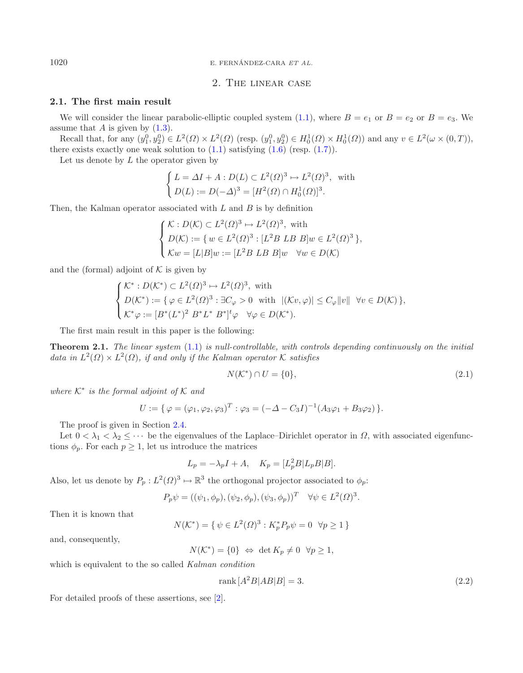## <span id="page-3-3"></span>2. The linear case

## **2.1. The first main result**

We will consider the linear parabolic-elliptic coupled system [\(1.1\)](#page-0-0), where  $B = e_1$  or  $B = e_2$  or  $B = e_3$ . We assume that  $A$  is given by  $(1.3)$ .

Recall that, for any  $(y_1^0, y_2^0) \in L^2(\Omega) \times L^2(\Omega)$  (resp.  $(y_1^0, y_2^0) \in H_0^1(\Omega) \times H_0^1(\Omega)$ ) and any  $v \in L^2(\omega \times (0,T))$ , there exists exactly one weak solution to  $(1.1)$  satisfying  $(1.6)$  (resp.  $(1.7)$ ).

Let us denote by  $L$  the operator given by

$$
\begin{cases}\nL = \Delta I + A : D(L) \subset L^2(\Omega)^3 \to L^2(\Omega)^3, \text{ with} \\
D(L) := D(-\Delta)^3 = [H^2(\Omega) \cap H_0^1(\Omega)]^3.\n\end{cases}
$$

Then, the Kalman operator associated with  $L$  and  $B$  is by definition

$$
\begin{cases} \mathcal{K} : D(\mathcal{K}) \subset L^2(\Omega)^3 \mapsto L^2(\Omega)^3, \text{ with} \\ D(\mathcal{K}) := \{ w \in L^2(\Omega)^3 : [L^2B \, LB \, B]w \in L^2(\Omega)^3 \}, \\ \mathcal{K}w = [L|B]w := [L^2B \, LB \, B]w \quad \forall w \in D(\mathcal{K}) \end{cases}
$$

and the (formal) adjoint of  $K$  is given by

$$
\begin{cases} \mathcal{K}^* : D(\mathcal{K}^*) \subset L^2(\Omega)^3 \mapsto L^2(\Omega)^3, \text{ with} \\ D(\mathcal{K}^*) := \{ \varphi \in L^2(\Omega)^3 : \exists C_{\varphi} > 0 \text{ with } |(\mathcal{K}v, \varphi)| \le C_{\varphi} ||v|| \ \forall v \in D(\mathcal{K}) \}, \\ \mathcal{K}^* \varphi := [B^*(L^*)^2 B^* L^* B^*]^t \varphi \ \ \forall \varphi \in D(\mathcal{K}^*). \end{cases}
$$

The first main result in this paper is the following:

<span id="page-3-0"></span>**Theorem 2.1.** *The linear system* [\(1.1\)](#page-0-0) *is null-controllable, with controls depending continuously on the initial data in*  $L^2(\Omega) \times L^2(\Omega)$ *, if and only if the Kalman operator* K *satisfies* 

$$
N(\mathcal{K}^*) \cap U = \{0\},\tag{2.1}
$$

*where* K<sup>∗</sup> *is the formal adjoint of* K *and*

$$
U := \{ \varphi = (\varphi_1, \varphi_2, \varphi_3)^T : \varphi_3 = (-\Delta - C_3 I)^{-1} (A_3 \varphi_1 + B_3 \varphi_2) \}.
$$

The proof is given in Section [2.4.](#page-8-0)

Let  $0 < \lambda_1 < \lambda_2 \leq \cdots$  be the eigenvalues of the Laplace–Dirichlet operator in  $\Omega$ , with associated eigenfunctions  $\phi_p$ . For each  $p \geq 1$ , let us introduce the matrices

<span id="page-3-2"></span>
$$
L_p = -\lambda_p I + A, \quad K_p = [L_p^2 B | L_p B | B].
$$

Also, let us denote by  $P_p: L^2(\Omega)^3 \to \mathbb{R}^3$  the orthogonal projector associated to  $\phi_p$ :

$$
P_p \psi = ((\psi_1, \phi_p), (\psi_2, \phi_p), (\psi_3, \phi_p))^T \quad \forall \psi \in L^2(\Omega)^3.
$$

Then it is known that

$$
N(\mathcal{K}^*) = \{ \psi \in L^2(\Omega)^3 : K_p^* P_p \psi = 0 \ \forall p \ge 1 \}
$$

and, consequently,

$$
N(\mathcal{K}^*) = \{0\} \Leftrightarrow \det K_p \neq 0 \ \forall p \ge 1,
$$

which is equivalent to the so called *Kalman condition*

$$
rank [A2B|AB|B] = 3.
$$
\n
$$
(2.2)
$$

<span id="page-3-4"></span>For detailed proofs of these assertions, see [\[2](#page-22-9)].

<span id="page-3-1"></span>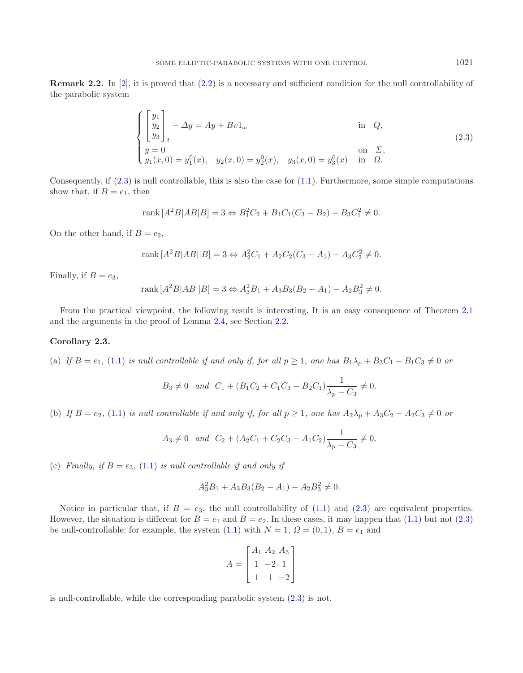<span id="page-4-0"></span>**Remark 2.2.** In [\[2](#page-22-9)], it is proved that [\(2.2\)](#page-3-2) is a necessary and sufficient condition for the null controllability of the parabolic system

$$
\begin{cases}\n\begin{bmatrix}\ny_1 \\
y_2 \\
y_3\n\end{bmatrix}_t - \Delta y = Ay + Bv1_\omega & \text{in } Q, \\
y = 0 & \text{on } \Sigma, \\
y_1(x, 0) = y_1^0(x), \quad y_2(x, 0) = y_2^0(x), \quad y_3(x, 0) = y_3^0(x) & \text{in } \Omega.\n\end{cases}
$$
\n(2.3)

Consequently, if  $(2.3)$  is null controllable, this is also the case for  $(1.1)$ . Furthermore, some simple computations show that, if  $B = e_1$ , then

<span id="page-4-1"></span>rank 
$$
[A^2B|AB|B] = 3 \Leftrightarrow B_1^2C_2 + B_1C_1(C_3 - B_2) - B_3C_1^2 \neq 0.
$$

On the other hand, if  $B = e_2$ ,

rank 
$$
[A^2B|AB||B] = 3 \Leftrightarrow A_2^2C_1 + A_2C_2(C_3 - A_1) - A_3C_2^2 \neq 0.
$$

Finally, if  $B = e_3$ ,

rank 
$$
[A^2B|AB||B] = 3 \Leftrightarrow A_3^2B_1 + A_3B_3(B_2 - A_1) - A_2B_3^2 \neq 0.
$$

From the practical viewpoint, the following result is interesting. It is an easy consequence of Theorem [2.1](#page-3-0) and the arguments in the proof of Lemma [2.4,](#page-5-0) see Section [2.2.](#page-5-1)

### **Corollary 2.3.**

(a) *If*  $B = e_1$ , [\(1.1\)](#page-0-0) *is null controllable if and only if, for all*  $p \ge 1$ *, one has*  $B_1\lambda_p + B_3C_1 - B_1C_3 \ne 0$  *or* 

$$
B_3 \neq 0
$$
 and  $C_1 + (B_1C_2 + C_1C_3 - B_2C_1)\frac{1}{\lambda_p - C_3} \neq 0.$ 

(b) *If*  $B = e_2$ , [\(1.1\)](#page-0-0) *is null controllable if and only if, for all*  $p \ge 1$ *, one has*  $A_2\lambda_p + A_3C_2 - A_2C_3 \ne 0$  *or* 

$$
A_3 \neq 0 \quad and \quad C_2 + (A_2C_1 + C_2C_3 - A_1C_2)\frac{1}{\lambda_p - C_3} \neq 0.
$$

(c) *Finally, if*  $B = e_3$ , [\(1.1\)](#page-0-0) *is null controllable if and only if* 

$$
A_3^2B_1 + A_3B_3(B_2 - A_1) - A_2B_3^2 \neq 0.
$$

Notice in particular that, if  $B = e_3$ , the null controllability of [\(1.1\)](#page-0-0) and [\(2.3\)](#page-4-0) are equivalent properties. However, the situation is different for  $B = e_1$  and  $B = e_2$ . In these cases, it may happen that [\(1.1\)](#page-0-0) but not [\(2.3\)](#page-4-0) be null-controllable: for example, the system  $(1.1)$  with  $N = 1$ ,  $\Omega = (0, 1)$ ,  $B = e_1$  and

$$
A = \begin{bmatrix} A_1 & A_2 & A_3 \\ 1 & -2 & 1 \\ 1 & 1 & -2 \end{bmatrix}
$$

is null-controllable, while the corresponding parabolic system [\(2.3\)](#page-4-0) is not.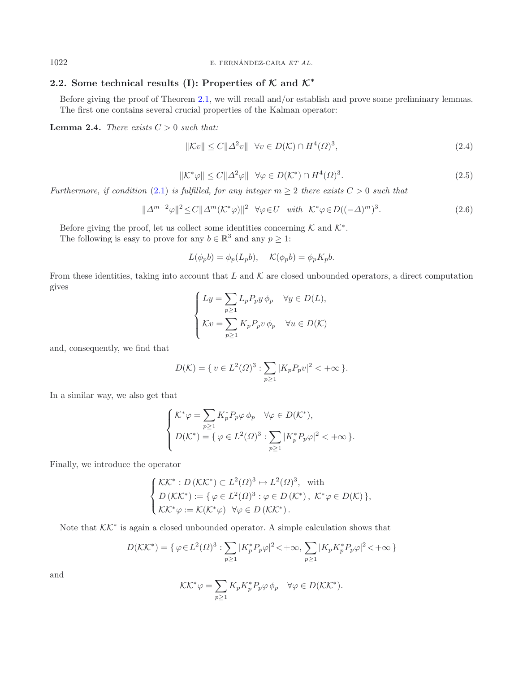## <span id="page-5-1"></span>**2.2.** Some technical results (I): Properties of  $K$  and  $K^*$

Before giving the proof of Theorem [2.1,](#page-3-0) we will recall and/or establish and prove some preliminary lemmas. The first one contains several crucial properties of the Kalman operator:

<span id="page-5-0"></span>**Lemma 2.4.** *There exists*  $C > 0$  *such that:* 

<span id="page-5-4"></span>
$$
\|\mathcal{K}v\| \le C\|\Delta^2 v\| \quad \forall v \in D(\mathcal{K}) \cap H^4(\Omega)^3,\tag{2.4}
$$

$$
\|\mathcal{K}^*\varphi\| \le C\|\Delta^2\varphi\| \quad \forall \varphi \in D(\mathcal{K}^*) \cap H^4(\Omega)^3. \tag{2.5}
$$

*Furthermore, if condition* [\(2.1\)](#page-3-3) *is fulfilled, for any integer*  $m \geq 2$  *there exists*  $C > 0$  *such that* 

$$
\|\Delta^{m-2}\varphi\|^2 \le C\|\Delta^m(\mathcal{K}^*\varphi)\|^2 \quad \forall \varphi \in U \quad \text{with} \quad \mathcal{K}^*\varphi \in D((-\Delta)^m)^3. \tag{2.6}
$$

Before giving the proof, let us collect some identities concerning  $K$  and  $K^*$ .

The following is easy to prove for any  $b \in \mathbb{R}^3$  and any  $p \geq 1$ :

$$
L(\phi_p b) = \phi_p(L_p b), \quad \mathcal{K}(\phi_p b) = \phi_p K_p b.
$$

From these identities, taking into account that L and K are closed unbounded operators, a direct computation gives

$$
\begin{cases}\nLy = \sum_{p \ge 1} L_p P_p y \, \phi_p & \forall y \in D(L), \\
\mathcal{K}v = \sum_{p \ge 1} K_p P_p v \, \phi_p & \forall u \in D(\mathcal{K})\n\end{cases}
$$

and, consequently, we find that

$$
D(K) = \{ v \in L^{2}(\Omega)^{3} : \sum_{p \ge 1} |K_{p}P_{p}v|^{2} < +\infty \}.
$$

In a similar way, we also get that

$$
\begin{cases} \mathcal{K}^*\varphi = \sum_{p\geq 1} K_p^* P_p \varphi \, \phi_p \quad \forall \varphi \in D(\mathcal{K}^*), \\ D(\mathcal{K}^*) = \{ \varphi \in L^2(\Omega)^3 : \sum_{p\geq 1} |K_p^* P_p \varphi|^2 < +\infty \}. \end{cases}
$$

Finally, we introduce the operator

$$
\begin{cases}\n\mathcal{K}\mathcal{K}^* : D(\mathcal{K}\mathcal{K}^*) \subset L^2(\Omega)^3 \mapsto L^2(\Omega)^3, & \text{with} \\
D(\mathcal{K}\mathcal{K}^*) := \{ \varphi \in L^2(\Omega)^3 : \varphi \in D(\mathcal{K}^*) , \ \mathcal{K}^* \varphi \in D(\mathcal{K}) \}, \\
\mathcal{K}\mathcal{K}^* \varphi := \mathcal{K}(\mathcal{K}^* \varphi) \ \ \forall \varphi \in D(\mathcal{K}\mathcal{K}^*).\n\end{cases}
$$

Note that  $\mathcal{K}\mathcal{K}^*$  is again a closed unbounded operator. A simple calculation shows that

$$
D(\mathcal{K}\mathcal{K}^*) = \{ \varphi \in L^2(\Omega)^3 : \sum_{p \ge 1} |K_p^* P_p \varphi|^2 < +\infty, \sum_{p \ge 1} |K_p K_p^* P_p \varphi|^2 < +\infty \}
$$

and

$$
\mathcal{K}\mathcal{K}^*\varphi = \sum_{p\geq 1} K_p K_p^* P_p \varphi \phi_p \quad \forall \varphi \in D(\mathcal{K}\mathcal{K}^*).
$$

<span id="page-5-3"></span><span id="page-5-2"></span>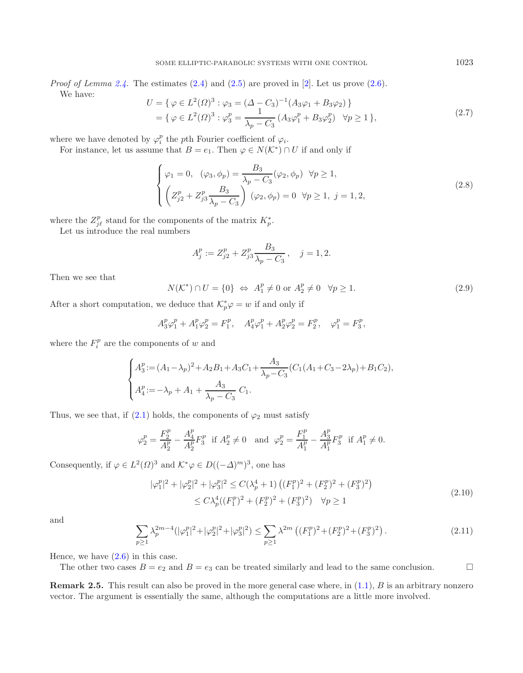*Proof of Lemma [2.4.](#page-5-0)* The estimates [\(2.4\)](#page-5-2) and [\(2.5\)](#page-5-3) are proved in [\[2\]](#page-22-9). Let us prove [\(2.6\)](#page-5-4). We have:

$$
U = \{ \varphi \in L^{2}(\Omega)^{3} : \varphi_{3} = (\Delta - C_{3})^{-1} (A_{3}\varphi_{1} + B_{3}\varphi_{2}) \}
$$
  
=  $\{ \varphi \in L^{2}(\Omega)^{3} : \varphi_{3}^{p} = \frac{1}{\lambda_{p} - C_{3}} (A_{3}\varphi_{1}^{p} + B_{3}\varphi_{2}^{p}) \quad \forall p \ge 1 \},$  (2.7)

where we have denoted by  $\varphi_i^p$  the pth Fourier coefficient of  $\varphi_i$ .

<span id="page-6-0"></span>For instance, let us assume that  $B = e_1$ . Then  $\varphi \in N(\mathcal{K}^*) \cap U$  if and only if

$$
\begin{cases}\n\varphi_1 = 0, & (\varphi_3, \phi_p) = \frac{B_3}{\lambda_p - C_3} (\varphi_2, \phi_p) \quad \forall p \ge 1, \\
\left(Z_{j2}^p + Z_{j3}^p \frac{B_3}{\lambda_p - C_3}\right) & (\varphi_2, \phi_p) = 0 \quad \forall p \ge 1, \ j = 1, 2,\n\end{cases}
$$
\n(2.8)

where the  $Z_{j\ell}^p$  stand for the components of the matrix  $K_p^*$ .

Let us introduce the real numbers

$$
A_j^p := Z_{j2}^p + Z_{j3}^p \frac{B_3}{\lambda_p - C_3}, \quad j = 1, 2.
$$

Then we see that

$$
N(\mathcal{K}^*) \cap U = \{0\} \Leftrightarrow A_1^p \neq 0 \text{ or } A_2^p \neq 0 \quad \forall p \ge 1. \tag{2.9}
$$

After a short computation, we deduce that  $\mathcal{K}_p^*\varphi = w$  if and only if

$$
A_3^p \varphi_1^p + A_1^p \varphi_2^p = F_1^p, \quad A_4^p \varphi_1^p + A_2^p \varphi_2^p = F_2^p, \quad \varphi_1^p = F_3^p,
$$

where the  $F_i^p$  are the components of w and

$$
\begin{cases} A_3^p := (A_1 - \lambda_p)^2 + A_2 B_1 + A_3 C_1 + \frac{A_3}{\lambda_p - C_3} (C_1 (A_1 + C_3 - 2\lambda_p) + B_1 C_2), \\ A_4^p := -\lambda_p + A_1 + \frac{A_3}{\lambda_p - C_3} C_1. \end{cases}
$$

Thus, we see that, if  $(2.1)$  holds, the components of  $\varphi_2$  must satisfy

$$
\varphi_2^p = \frac{F_2^p}{A_2^p} - \frac{A_4^p}{A_2^p} F_3^p \text{ if } A_2^p \neq 0 \text{ and } \varphi_2^p = \frac{F_1^p}{A_1^p} - \frac{A_3^p}{A_1^p} F_3^p \text{ if } A_1^p \neq 0.
$$

Consequently, if  $\varphi \in L^2(\Omega)^3$  and  $\mathcal{K}^*\varphi \in D((-\Delta)^m)^3$ , one has

$$
|\varphi_1^p|^2 + |\varphi_2^p|^2 + |\varphi_3^p|^2 \le C(\lambda_p^4 + 1) \left( (F_1^p)^2 + (F_2^p)^2 + (F_3^p)^2 \right) \le C\lambda_p^4((F_1^p)^2 + (F_2^p)^2 + (F_3^p)^2) \quad \forall p \ge 1
$$
\n(2.10)

and

$$
\sum_{p\geq 1} \lambda_p^{2m-4} (|\varphi_1^p|^2 + |\varphi_2^p|^2 + |\varphi_3^p|^2) \leq \sum_{p\geq 1} \lambda^{2m} \left( (F_1^p)^2 + (F_2^p)^2 + (F_3^p)^2 \right). \tag{2.11}
$$

Hence, we have  $(2.6)$  in this case.

The other two cases  $B = e_2$  and  $B = e_3$  can be treated similarly and lead to the same conclusion.  $\Box$ 

**Remark 2.5.** This result can also be proved in the more general case where, in  $(1.1)$ , B is an arbitrary nonzero vector. The argument is essentially the same, although the computations are a little more involved.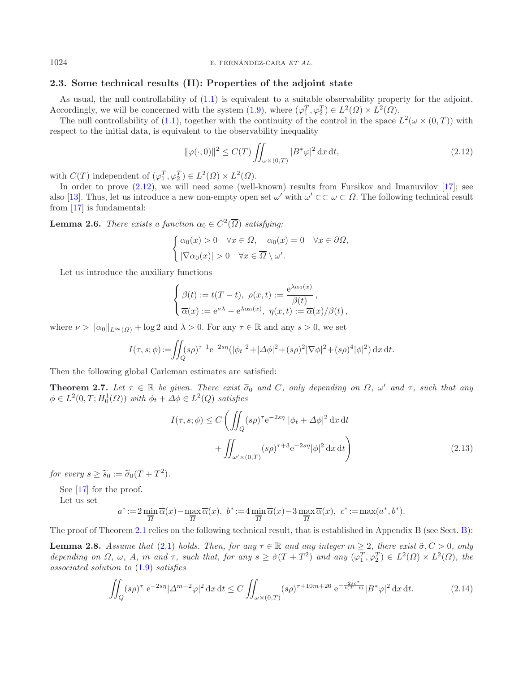### **2.3. Some technical results (II): Properties of the adjoint state**

As usual, the null controllability of [\(1.1\)](#page-0-0) is equivalent to a suitable observability property for the adjoint. Accordingly, we will be concerned with the system  $(1.9)$ , where  $(\varphi_1^T, \varphi_2^T) \in L^2(\Omega) \times L^2(\Omega)$ .

The null controllability of [\(1.1\)](#page-0-0), together with the continuity of the control in the space  $L^2(\omega \times (0,T))$  with respect to the initial data, is equivalent to the observability inequality

<span id="page-7-1"></span>
$$
\|\varphi(\cdot,0)\|^2 \le C(T) \iint_{\omega \times (0,T)} |B^*\varphi|^2 \, \mathrm{d}x \, \mathrm{d}t,\tag{2.12}
$$

with  $C(T)$  independent of  $(\varphi_1^T, \varphi_2^T) \in L^2(\Omega) \times L^2(\Omega)$ .

In order to prove [\(2.12\)](#page-7-1), we will need some (well-known) results from Fursikov and Imanuvilov [\[17\]](#page-22-7); see also [\[13](#page-22-10)]. Thus, let us introduce a new non-empty open set  $\omega'$  with  $\omega' \subset\subset \omega \subset \Omega$ . The following technical result from [\[17](#page-22-7)] is fundamental:

**Lemma 2.6.** *There exists a function*  $\alpha_0 \in C^2(\overline{\Omega})$  *satisfying:* 

$$
\begin{cases} \alpha_0(x) > 0 & \forall x \in \Omega, \quad \alpha_0(x) = 0 \quad \forall x \in \partial\Omega, \\ |\nabla \alpha_0(x)| > 0 & \forall x \in \overline{\Omega} \setminus \omega'. \end{cases}
$$

Let us introduce the auxiliary functions

$$
\begin{cases}\n\beta(t) := t(T - t), \ \rho(x, t) := \frac{e^{\lambda \alpha_0(x)}}{\beta(t)}, \\
\overline{\alpha}(x) := e^{\nu \lambda} - e^{\lambda \alpha_0(x)}, \ \eta(x, t) := \overline{\alpha}(x) / \beta(t),\n\end{cases}
$$

where  $\nu > ||\alpha_0||_{L^{\infty}(\Omega)} + \log 2$  and  $\lambda > 0$ . For any  $\tau \in \mathbb{R}$  and any  $s > 0$ , we set

$$
I(\tau, s; \phi) := \iint_Q (s\rho)^{\tau - 1} e^{-2s\eta} (|\phi_t|^2 + |\Delta \phi|^2 + (s\rho)^2 |\nabla \phi|^2 + (s\rho)^4 |\phi|^2) \, dx \, dt.
$$

<span id="page-7-0"></span>Then the following global Carleman estimates are satisfied:

**Theorem 2.7.** *Let*  $\tau \in \mathbb{R}$  *be given. There exist*  $\tilde{\sigma}_0$  *and* C, *only depending on*  $\Omega$ ,  $\omega'$  *and*  $\tau$ , *such that any*  $\phi \in L^2(0,T;H_0^1(\Omega))$  with  $\phi_t + \Delta \phi \in L^2(Q)$  satisfies

<span id="page-7-3"></span>
$$
I(\tau, s; \phi) \le C \left( \iint_Q (s\rho)^\tau e^{-2s\eta} |\phi_t + \Delta \phi|^2 dx dt + \iint_{\omega' \times (0,T)} (s\rho)^{\tau+3} e^{-2s\eta} |\phi|^2 dx dt \right)
$$
\n(2.13)

*for every*  $s > \widetilde{s}_0 := \widetilde{\sigma}_0(T + T^2)$ *.* 

See [\[17\]](#page-22-7) for the proof.

Let us set

$$
a^*\!:=\!2\min_{\overline{\varOmega}}\overline{\alpha}(x)-\max_{\overline{\varOmega}}\overline{\alpha}(x),\ b^*\!:=\!4\min_{\overline{\varOmega}}\overline{\alpha}(x)-3\max_{\overline{\varOmega}}\overline{\alpha}(x),\ c^*\!:=\!\max(a^*,b^*).
$$

<span id="page-7-2"></span>The proof of Theorem [2.1](#page-3-0) relies on the following technical result, that is established in Appendix B (see Sect. [B\)](#page-3-1):

**Lemma 2.8.** *Assume that* [\(2.1\)](#page-3-3) *holds. Then, for any*  $\tau \in \mathbb{R}$  *and any integer*  $m \geq 2$ *, there exist*  $\tilde{\sigma}, C > 0$ *, only depending on*  $\Omega$ ,  $\omega$ ,  $A$ ,  $m$  *and*  $\tau$ , *such that, for any*  $s \geq \tilde{\sigma}(T + T^2)$  *and any*  $(\varphi_1^T, \varphi_2^T) \in L^2(\Omega) \times L^2(\Omega)$ , the *associated solution to* [\(1.9\)](#page-2-1) *satisfies*

$$
\iint_{Q} (s\rho)^{\tau} e^{-2s\eta} |\Delta^{m-2}\varphi|^2 dx dt \le C \iint_{\omega \times (0,T)} (s\rho)^{\tau+10m+26} e^{-\frac{2sc^*}{t(T-t)}} |B^*\varphi|^2 dx dt.
$$
 (2.14)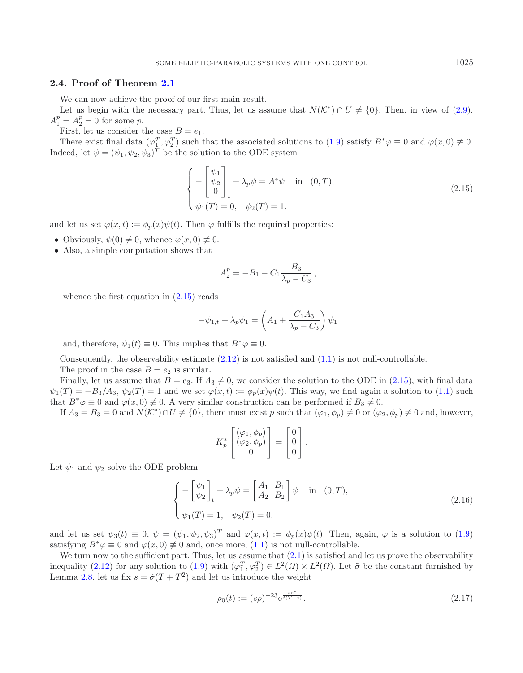## <span id="page-8-0"></span>**2.4. Proof of Theorem [2.1](#page-3-0)**

We can now achieve the proof of our first main result.

Let us begin with the necessary part. Thus, let us assume that  $N(\mathcal{K}^*) \cap U \neq \{0\}$ . Then, in view of [\(2.9\)](#page-6-0),  $A_1^p = A_2^p = 0$  for some p.

First, let us consider the case  $B = e_1$ .

There exist final data  $(\varphi_1^T, \varphi_2^T)$  such that the associated solutions to  $(1.9)$  satisfy  $B^*\varphi \equiv 0$  and  $\varphi(x,0) \not\equiv 0$ . Indeed, let  $\psi = (\psi_1, \psi_2, \psi_3)^T$  be the solution to the ODE system

<span id="page-8-1"></span>
$$
\begin{cases}\n-\begin{bmatrix}\n\psi_1 \\
\psi_2 \\
0\n\end{bmatrix}_t + \lambda_p \psi = A^* \psi \quad \text{in} \quad (0, T), \\
\psi_1(T) = 0, \quad \psi_2(T) = 1.\n\end{cases}
$$
\n(2.15)

and let us set  $\varphi(x,t) := \phi_p(x)\psi(t)$ . Then  $\varphi$  fulfills the required properties:

- Obviously,  $\psi(0) \neq 0$ , whence  $\varphi(x, 0) \neq 0$ .
- Also, a simple computation shows that

$$
A_2^p = -B_1 - C_1 \frac{B_3}{\lambda_p - C_3},
$$

whence the first equation in  $(2.15)$  reads

$$
-\psi_{1,t} + \lambda_p \psi_1 = \left(A_1 + \frac{C_1 A_3}{\lambda_p - C_3}\right)\psi_1
$$

and, therefore,  $\psi_1(t) \equiv 0$ . This implies that  $B^*\varphi \equiv 0$ .

Consequently, the observability estimate  $(2.12)$  is not satisfied and  $(1.1)$  is not null-controllable.

The proof in the case  $B = e_2$  is similar.

Finally, let us assume that  $B = e_3$ . If  $A_3 \neq 0$ , we consider the solution to the ODE in [\(2.15\)](#page-8-1), with final data  $\psi_1(T) = -B_3/A_3$ ,  $\psi_2(T) = 1$  and we set  $\varphi(x, t) := \phi_p(x)\psi(t)$ . This way, we find again a solution to [\(1.1\)](#page-0-0) such that  $B^*\varphi \equiv 0$  and  $\varphi(x,0) \not\equiv 0$ . A very similar construction can be performed if  $B_3 \neq 0$ .

If  $A_3 = B_3 = 0$  and  $N(\mathcal{K}^*) \cap U \neq \{0\}$ , there must exist p such that  $(\varphi_1, \phi_p) \neq 0$  or  $(\varphi_2, \phi_p) \neq 0$  and, however,

<span id="page-8-2"></span>
$$
K_p^* \begin{bmatrix} (\varphi_1, \phi_p) \\ (\varphi_2, \phi_p) \\ 0 \end{bmatrix} = \begin{bmatrix} 0 \\ 0 \\ 0 \end{bmatrix}.
$$

Let  $\psi_1$  and  $\psi_2$  solve the ODE problem

$$
\begin{cases}\n-\begin{bmatrix}\n\psi_1 \\
\psi_2\n\end{bmatrix}_t + \lambda_p \psi = \begin{bmatrix} A_1 & B_1 \\ A_2 & B_2 \end{bmatrix} \psi \quad \text{in} \quad (0, T), \\
\psi_1(T) = 1, \quad \psi_2(T) = 0.\n\end{cases}
$$
\n(2.16)

and let us set  $\psi_3(t) \equiv 0$ ,  $\psi = (\psi_1, \psi_2, \psi_3)^T$  and  $\varphi(x, t) := \phi_p(x)\psi(t)$ . Then, again,  $\varphi$  is a solution to [\(1.9\)](#page-2-1) satisfying  $B^*\varphi \equiv 0$  and  $\varphi(x,0) \not\equiv 0$  and, once more, [\(1.1\)](#page-0-0) is not null-controllable.

We turn now to the sufficient part. Thus, let us assume that  $(2.1)$  is satisfied and let us prove the observability inequality [\(2.12\)](#page-7-1) for any solution to  $(1.9)$  with  $(\varphi_1^T, \varphi_2^T) \in L^2(\Omega) \times L^2(\Omega)$ . Let  $\tilde{\sigma}$  be the constant furnished by Lemma [2.8,](#page-7-2) let us fix  $s = \tilde{\sigma}(T + T^2)$  and let us introduce the weight

$$
\rho_0(t) := (s\rho)^{-23} e^{\frac{sc^*}{t(T-t)}}.
$$
\n(2.17)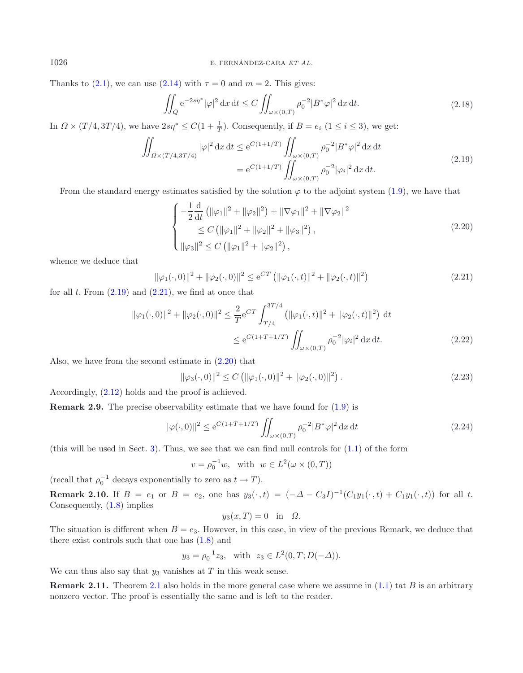Thanks to  $(2.1)$ , we can use  $(2.14)$  with  $\tau = 0$  and  $m = 2$ . This gives:

<span id="page-9-3"></span><span id="page-9-1"></span>
$$
\iint_{Q} e^{-2s\eta^*} |\varphi|^2 dx dt \le C \iint_{\omega \times (0,T)} \rho_0^{-2} |B^* \varphi|^2 dx dt.
$$
\n(2.18)

<span id="page-9-2"></span>In  $\Omega \times (T/4, 3T/4)$ , we have  $2s\eta^* \leq C(1+\frac{1}{T})$ . Consequently, if  $B = e_i$   $(1 \leq i \leq 3)$ , we get:

$$
\iint_{\Omega \times (T/4,3T/4)} |\varphi|^2 dx dt \le e^{C(1+1/T)} \iint_{\omega \times (0,T)} \rho_0^{-2} |B^* \varphi|^2 dx dt
$$
\n
$$
= e^{C(1+1/T)} \iint_{\omega \times (0,T)} \rho_0^{-2} |\varphi_i|^2 dx dt.
$$
\n(2.19)

From the standard energy estimates satisfied by the solution  $\varphi$  to the adjoint system [\(1.9\)](#page-2-1), we have that

$$
\begin{cases}\n-\frac{1}{2}\frac{\mathrm{d}}{\mathrm{d}t}\left(\|\varphi_{1}\|^{2}+\|\varphi_{2}\|^{2}\right)+\|\nabla\varphi_{1}\|^{2}+\|\nabla\varphi_{2}\|^{2} \\
\leq C\left(\|\varphi_{1}\|^{2}+\|\varphi_{2}\|^{2}+\|\varphi_{3}\|^{2}\right), \\
\|\varphi_{3}\|^{2}\leq C\left(\|\varphi_{1}\|^{2}+\|\varphi_{2}\|^{2}\right),\n\end{cases}
$$
\n(2.20)

whence we deduce that

<span id="page-9-4"></span>
$$
\|\varphi_1(\cdot,0)\|^2 + \|\varphi_2(\cdot,0)\|^2 \le e^{CT} \left( \|\varphi_1(\cdot,t)\|^2 + \|\varphi_2(\cdot,t)\|^2 \right) \tag{2.21}
$$

for all t. From  $(2.19)$  and  $(2.21)$ , we find at once that

$$
\|\varphi_1(\cdot,0)\|^2 + \|\varphi_2(\cdot,0)\|^2 \le \frac{2}{T} e^{CT} \int_{T/4}^{3T/4} \left( \|\varphi_1(\cdot,t)\|^2 + \|\varphi_2(\cdot,t)\|^2 \right) dt
$$
  

$$
\le e^{C(1+T+1/T)} \iint_{\omega \times (0,T)} \rho_0^{-2} |\varphi_i|^2 dx dt.
$$
 (2.22)

Also, we have from the second estimate in [\(2.20\)](#page-9-3) that

$$
\|\varphi_3(\cdot,0)\|^2 \le C \left( \|\varphi_1(\cdot,0)\|^2 + \|\varphi_2(\cdot,0)\|^2 \right). \tag{2.23}
$$

Accordingly, [\(2.12\)](#page-7-1) holds and the proof is achieved.

**Remark 2.9.** The precise observability estimate that we have found for  $(1.9)$  is

$$
\|\varphi(\cdot,0)\|^2 \le e^{C(1+T+1/T)} \iint_{\omega \times (0,T)} \rho_0^{-2} |B^* \varphi|^2 dx dt
$$
 (2.24)

(this will be used in Sect. [3\)](#page-10-0). Thus, we see that we can find null controls for  $(1.1)$  of the form

$$
v = \rho_0^{-1} w, \quad \text{with} \quad w \in L^2(\omega \times (0, T))
$$

(recall that  $\rho_0^{-1}$  decays exponentially to zero as  $t \to T$ ).

<span id="page-9-0"></span>**Remark 2.10.** If  $B = e_1$  or  $B = e_2$ , one has  $y_3(\cdot, t) = (-\Delta - C_3 I)^{-1}(C_1y_1(\cdot, t) + C_1y_1(\cdot, t))$  for all t. Consequently, [\(1.8\)](#page-1-3) implies

$$
y_3(x,T) = 0 \quad \text{in} \quad \Omega.
$$

The situation is different when  $B = e_3$ . However, in this case, in view of the previous Remark, we deduce that there exist controls such that one has [\(1.8\)](#page-1-3) and

$$
y_3 = \rho_0^{-1} z_3
$$
, with  $z_3 \in L^2(0, T; D(-\Delta))$ .

<span id="page-9-5"></span>We can thus also say that  $y_3$  vanishes at T in this weak sense.

**Remark [2.1](#page-3-0)1.** Theorem 2.1 also holds in the more general case where we assume in  $(1.1)$  tat B is an arbitrary nonzero vector. The proof is essentially the same and is left to the reader.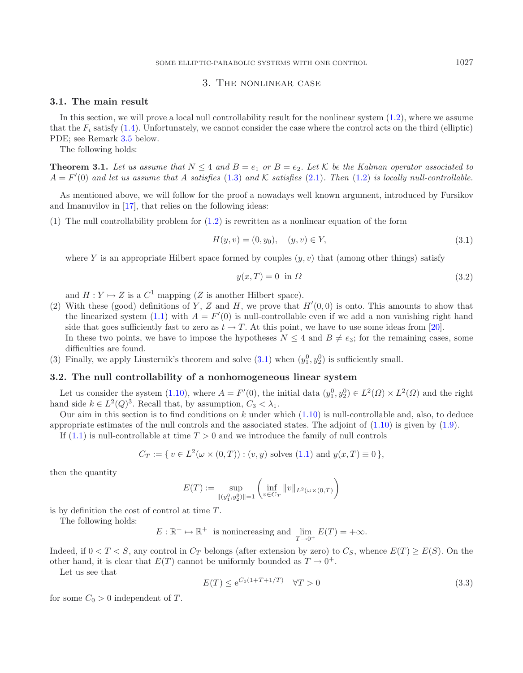## 3. The nonlinear case

### <span id="page-10-0"></span>**3.1. The main result**

In this section, we will prove a local null controllability result for the nonlinear system [\(1.2\)](#page-0-1), where we assume that the  $F_i$  satisfy  $(1.4)$ . Unfortunately, we cannot consider the case where the control acts on the third (elliptic) PDE; see Remark [3.5](#page-15-2) below.

The following holds:

<span id="page-10-3"></span>**Theorem 3.1.** Let us assume that  $N \leq 4$  and  $B = e_1$  or  $B = e_2$ . Let K be the Kalman operator associated to  $A = F'(0)$  and let us assume that A satisfies  $(1.3)$  and K satisfies  $(2.1)$ . Then  $(1.2)$  is locally null-controllable.

As mentioned above, we will follow for the proof a nowadays well known argument, introduced by Fursikov and Imanuvilov in [\[17](#page-22-7)], that relies on the following ideas:

(1) The null controllability problem for [\(1.2\)](#page-0-1) is rewritten as a nonlinear equation of the form

$$
H(y, v) = (0, y_0), \quad (y, v) \in Y,
$$
\n(3.1)

where Y is an appropriate Hilbert space formed by couples  $(y, v)$  that (among other things) satisfy

$$
y(x,T) = 0 \text{ in } \Omega \tag{3.2}
$$

and  $H: Y \mapsto Z$  is a  $C^1$  mapping (Z is another Hilbert space).

- (2) With these (good) definitions of Y, Z and H, we prove that  $H'(0,0)$  is onto. This amounts to show that the linearized system [\(1.1\)](#page-0-0) with  $A = F'(0)$  is null-controllable even if we add a non vanishing right hand side that goes sufficiently fast to zero as  $t \to T$ . At this point, we have to use some ideas from [\[20\]](#page-22-8). In these two points, we have to impose the hypotheses  $N \leq 4$  and  $B \neq e_3$ ; for the remaining cases, some difficulties are found.
- (3) Finally, we apply Liusternik's theorem and solve  $(3.1)$  when  $(y_1^0, y_2^0)$  is sufficiently small.

#### **3.2. The null controllability of a nonhomogeneous linear system**

Let us consider the system [\(1.10\)](#page-2-0), where  $A = F'(0)$ , the initial data  $(y_1^0, y_2^0) \in L^2(\Omega) \times L^2(\Omega)$  and the right hand side  $k \in L^2(Q)^3$ . Recall that, by assumption,  $C_3 < \lambda_1$ .

Our aim in this section is to find conditions on  $k$  under which  $(1.10)$  is null-controllable and, also, to deduce appropriate estimates of the null controls and the associated states. The adjoint of [\(1.10\)](#page-2-0) is given by [\(1.9\)](#page-2-1).

<span id="page-10-2"></span>If  $(1.1)$  is null-controllable at time  $T > 0$  and we introduce the family of null controls

$$
C_T := \{ v \in L^2(\omega \times (0, T)) : (v, y) \text{ solves } (1.1) \text{ and } y(x, T) \equiv 0 \},
$$

then the quantity

$$
E(T) := \sup_{\|(y_1^0, y_2^0)\| = 1} \left( \inf_{v \in C_T} \|v\|_{L^2(\omega \times (0,T))} \right)
$$

is by definition the cost of control at time  $T$ .

The following holds:

$$
E: \mathbb{R}^+ \mapsto \mathbb{R}^+ \text{ is nonincreasing and } \lim_{T \to 0^+} E(T) = +\infty.
$$

Indeed, if  $0 < T < S$ , any control in  $C_T$  belongs (after extension by zero) to  $C_S$ , whence  $E(T) \ge E(S)$ . On the other hand, it is clear that  $E(T)$  cannot be uniformly bounded as  $T \to 0^+$ .

Let us see that

$$
E(T) \le e^{C_0(1+T+1/T)} \quad \forall T > 0 \tag{3.3}
$$

for some  $C_0 > 0$  independent of T.

<span id="page-10-1"></span>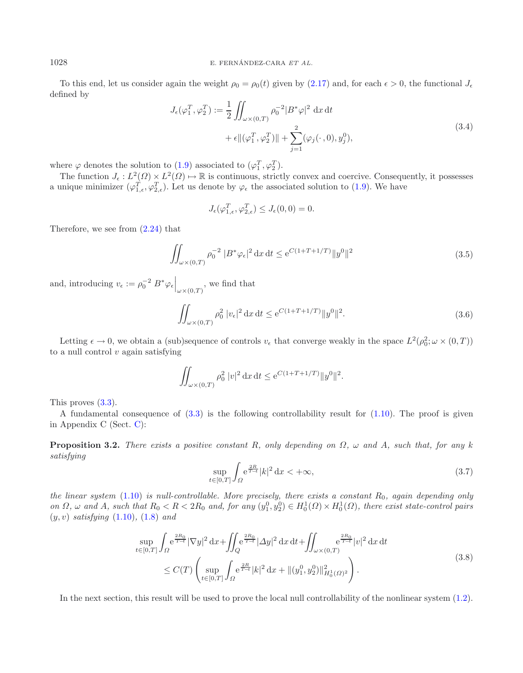To this end, let us consider again the weight  $\rho_0 = \rho_0(t)$  given by  $(2.17)$  and, for each  $\epsilon > 0$ , the functional  $J_{\epsilon}$ defined by

$$
J_{\epsilon}(\varphi_1^T, \varphi_2^T) := \frac{1}{2} \iint_{\omega \times (0,T)} \rho_0^{-2} |B^* \varphi|^2 dx dt + \epsilon \|(\varphi_1^T, \varphi_2^T)\| + \sum_{j=1}^2 (\varphi_j(\cdot, 0), y_j^0),
$$
(3.4)

where  $\varphi$  denotes the solution to [\(1.9\)](#page-2-1) associated to  $(\varphi_1^T, \varphi_2^T)$ .

The function  $J_{\epsilon}: L^2(\Omega) \times L^2(\Omega) \to \mathbb{R}$  is continuous, strictly convex and coercive. Consequently, it possesses a unique minimizer  $(\varphi_{1,\epsilon}^T, \varphi_{2,\epsilon}^T)$ . Let us denote by  $\varphi_{\epsilon}$  the associated solution to [\(1.9\)](#page-2-1). We have

$$
J_{\epsilon}(\varphi_{1,\epsilon}^T, \varphi_{2,\epsilon}^T) \le J_{\epsilon}(0,0) = 0.
$$

Therefore, we see from [\(2.24\)](#page-9-4) that

$$
\iint_{\omega \times (0,T)} \rho_0^{-2} |B^* \varphi_\epsilon|^2 \, \mathrm{d}x \, \mathrm{d}t \le \mathrm{e}^{C(1+T+1/T)} \|y^0\|^2 \tag{3.5}
$$

and, introducing  $v_{\epsilon} := \rho_0^{-2} B^* \varphi_{\epsilon} \Big|_{\omega \times (0,T)}$ , we find that

$$
\iint_{\omega \times (0,T)} \rho_0^2 |v_{\epsilon}|^2 dx dt \le e^{C(1+T+1/T)} \|y^0\|^2.
$$
\n(3.6)

Letting  $\epsilon \to 0$ , we obtain a (sub)sequence of controls  $v_{\epsilon}$  that converge weakly in the space  $L^2(\rho_0^2; \omega \times (0, T))$ to a null control  $v$  again satisfying

<span id="page-11-1"></span>
$$
\iint_{\omega \times (0,T)} \rho_0^2 |v|^2 dx dt \le e^{C(1+T+1/T)} \|y^0\|^2.
$$

This proves [\(3.3\)](#page-10-2).

<span id="page-11-0"></span>A fundamental consequence of  $(3.3)$  is the following controllability result for  $(1.10)$ . The proof is given in Appendix C (Sect. [C\)](#page-10-0):

**Proposition 3.2.** *There exists a positive constant* R, only depending on  $\Omega$ ,  $\omega$  and A, such that, for any k *satisfying*

$$
\sup_{t \in [0,T]} \int_{\Omega} e^{\frac{2R}{T-t}} |k|^2 dx < +\infty,
$$
\n(3.7)

*the linear system* [\(1.10\)](#page-2-0) *is null-controllable. More precisely, there exists a constant*  $R_0$ *, again depending only on*  $\Omega$ ,  $\omega$  and  $A$ , such that  $R_0 < R < 2R_0$  and, for any  $(y_1^0, y_2^0) \in H_0^1(\Omega) \times H_0^1(\Omega)$ , there exist state-control pairs (y, v) *satisfying* [\(1.10\)](#page-2-0)*,* [\(1.8\)](#page-1-3) *and*

$$
\sup_{t \in [0,T]} \int_{\Omega} e^{\frac{2R_0}{T-t}} |\nabla y|^2 dx + \iint_{Q} e^{\frac{2R_0}{T-t}} |\Delta y|^2 dx dt + \iint_{\omega \times (0,T)} e^{\frac{2R_0}{T-t}} |v|^2 dx dt
$$
  
\n
$$
\leq C(T) \left( \sup_{t \in [0,T]} \int_{\Omega} e^{\frac{2R}{T-t}} |k|^2 dx + \|(y_1^0, y_2^0)\|_{H_0^1(\Omega)^2}^2 \right).
$$
\n(3.8)

In the next section, this result will be used to prove the local null controllability of the nonlinear system [\(1.2\)](#page-0-1).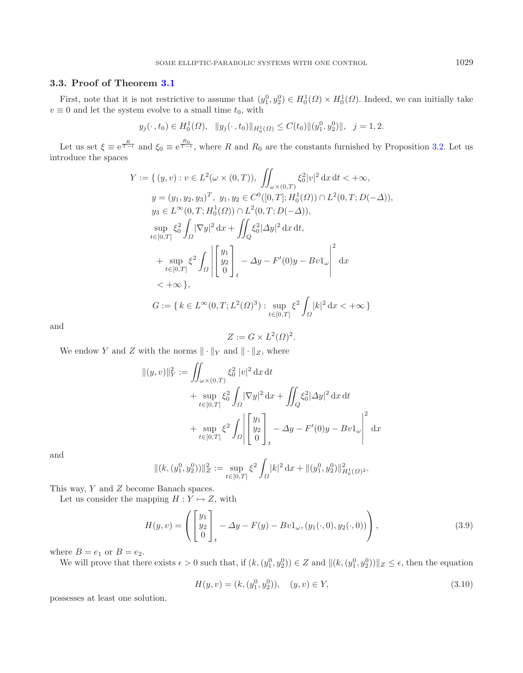### <span id="page-12-2"></span>**3.3. Proof of Theorem [3.1](#page-10-3)**

First, note that it is not restrictive to assume that  $(y_1^0, y_2^0) \in H_0^1(\Omega) \times H_0^1(\Omega)$ . Indeed, we can initially take  $v \equiv 0$  and let the system evolve to a small time  $t_0$ , with

$$
y_j(\cdot, t_0) \in H_0^1(\Omega), \quad ||y_j(\cdot, t_0)||_{H_0^1(\Omega)} \leq C(t_0) ||(y_1^0, y_2^0)||, \quad j = 1, 2.
$$

Let us set  $\xi \equiv e^{\frac{R}{T-t}}$  and  $\xi_0 \equiv e^{\frac{R_0}{T-t}}$ , where R and R<sub>0</sub> are the constants furnished by Proposition [3.2.](#page-11-0) Let us introduce the spaces

$$
Y := \{ (y, v) : v \in L^{2}(\omega \times (0, T)), \iint_{\omega \times (0, T)} \xi_{0}^{2} |v|^{2} dx dt < +\infty, \n y = (y_{1}, y_{2}, y_{3})^{T}, y_{1}, y_{2} \in C^{0}([0, T]; H_{0}^{1}(\Omega)) \cap L^{2}(0, T; D(-\Delta)), \n y_{3} \in L^{\infty}(0, T; H_{0}^{1}(\Omega)) \cap L^{2}(0, T; D(-\Delta)), \n \sup_{t \in [0, T]} \xi_{0}^{2} \int_{\Omega} |\nabla y|^{2} dx + \iint_{Q} \xi_{0}^{2} |\Delta y|^{2} dx dt, \n + \sup_{t \in [0, T]} \xi^{2} \int_{\Omega} \left| \begin{bmatrix} y_{1} \\ y_{2} \\ 0 \end{bmatrix}_{t} - \Delta y - F'(0)y - Bv1_{\omega} \right|^{2} dx \n < +\infty \}, \n G := \{ k \in L^{\infty}(0, T; L^{2}(\Omega)^{3}) : \sup_{t \in [0, T]} \xi^{2} \int_{\Omega} |k|^{2} dx < +\infty \}
$$

and

 $Z := G \times L^2(\Omega)^2$ .

We endow Y and Z with the norms  $\|\cdot\|_Y$  and  $\|\cdot\|_Z$ , where

<span id="page-12-0"></span>
$$
\begin{aligned} ||(y,v)||_Y^2 &:= \iint_{\omega \times (0,T)} \xi_0^2 |v|^2 \, \mathrm{d}x \, \mathrm{d}t \\ &+ \sup_{t \in [0,T]} \xi_0^2 \int_{\Omega} |\nabla y|^2 \, \mathrm{d}x + \iint_Q \xi_0^2 |\Delta y|^2 \, \mathrm{d}x \, \mathrm{d}t \\ &+ \sup_{t \in [0,T]} \xi^2 \int_{\Omega} \left| \begin{bmatrix} y_1 \\ y_2 \\ 0 \end{bmatrix}_{t} - \Delta y - F'(0)y - Bv1_w \right|^2 \, \mathrm{d}x \end{aligned}
$$

<span id="page-12-1"></span>and

$$
\|(k, (y_1^0, y_2^0))\|_Z^2 := \sup_{t \in [0,T]} \xi^2 \int_{\Omega} |k|^2 \, \mathrm{d}x + \|(y_1^0, y_2^0)\|_{H_0^1(\Omega)^2}^2.
$$

This way, Y and Z become Banach spaces.

Let us consider the mapping  $H: Y \mapsto Z$ , with

$$
H(y,v) = \left( \begin{bmatrix} y_1 \\ y_2 \\ 0 \end{bmatrix}_t - \Delta y - F(y) - Bv1\omega, (y_1(\cdot,0), y_2(\cdot,0)) \right),
$$
\n(3.9)

where  $B = e_1$  or  $B = e_2$ .

We will prove that there exists  $\epsilon > 0$  such that, if  $(k, (y_1^0, y_2^0)) \in Z$  and  $||(k, (y_1^0, y_2^0))||_Z \leq \epsilon$ , then the equation

$$
H(y, v) = (k, (y_1^0, y_2^0)), \quad (y, v) \in Y,
$$
\n(3.10)

possesses at least one solution.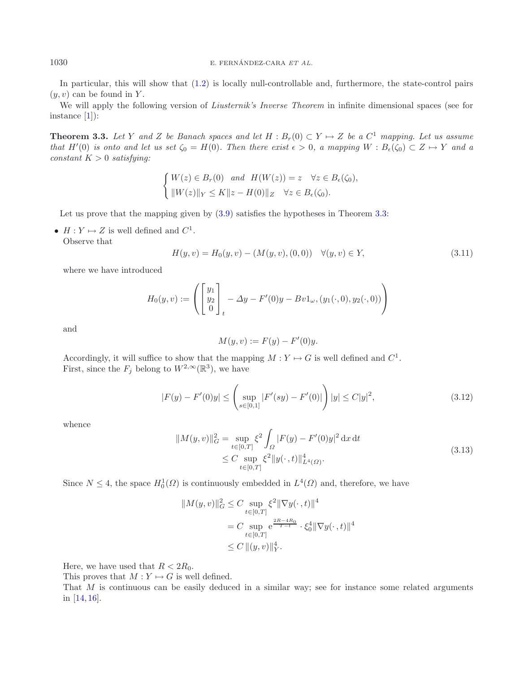In particular, this will show that [\(1.2\)](#page-0-1) is locally null-controllable and, furthermore, the state-control pairs  $(y, y)$  can be found in Y.

<span id="page-13-0"></span>We will apply the following version of *Liusternik's Inverse Theorem* in infinite dimensional spaces (see for instance [\[1](#page-22-6)]):

**Theorem 3.3.** Let Y and Z be Banach spaces and let  $H : B_r(0) \subset Y \mapsto Z$  be a  $C^1$  mapping. Let us assume *that*  $H'(0)$  *is onto and let us set*  $\zeta_0 = H(0)$ *. Then there exist*  $\epsilon > 0$ *, a mapping*  $W : B_{\epsilon}(\zeta_0) \subset Z \mapsto Y$  *and a constant*  $K > 0$  *satisfying:* 

$$
\begin{cases} W(z) \in B_r(0) \quad \text{and} \quad H(W(z)) = z \quad \forall z \in B_\epsilon(\zeta_0), \\ ||W(z)||_Y \le K ||z - H(0)||_Z \quad \forall z \in B_\epsilon(\zeta_0). \end{cases}
$$

Let us prove that the mapping given by  $(3.9)$  satisfies the hypotheses in Theorem [3.3:](#page-13-0)

•  $H: Y \mapsto Z$  is well defined and  $C^1$ . Observe that

$$
H(y, v) = H_0(y, v) - (M(y, v), (0, 0)) \quad \forall (y, v) \in Y,
$$
\n(3.11)

<span id="page-13-1"></span>where we have introduced

$$
H_0(y,v) := \left( \begin{bmatrix} y_1 \\ y_2 \\ 0 \end{bmatrix}_t - \Delta y - F'(0)y - Bv1\omega, (y_1(\cdot,0), y_2(\cdot,0)) \right)
$$

and

$$
M(y, v) := F(y) - F'(0)y.
$$

Accordingly, it will suffice to show that the mapping  $M: Y \mapsto G$  is well defined and  $C^1$ . First, since the  $F_j$  belong to  $W^{2,\infty}(\mathbb{R}^3)$ , we have

$$
|F(y) - F'(0)y| \le \left(\sup_{s \in [0,1]} |F'(sy) - F'(0)|\right)|y| \le C|y|^2,
$$
\n(3.12)

whence

$$
||M(y,v)||_{G}^{2} = \sup_{t \in [0,T]} \xi^{2} \int_{\Omega} |F(y) - F'(0)y|^{2} dx dt
$$
  
 
$$
\leq C \sup_{t \in [0,T]} \xi^{2} ||y(\cdot,t)||_{L^{4}(\Omega)}^{4}.
$$
 (3.13)

Since  $N \leq 4$ , the space  $H_0^1(\Omega)$  is continuously embedded in  $L^4(\Omega)$  and, therefore, we have

$$
||M(y,v)||_G^2 \leq C \sup_{t \in [0,T]} \xi^2 ||\nabla y(\cdot, t)||^4
$$
  
=  $C \sup_{t \in [0,T]} e^{\frac{2R - 4R_0}{T - t}} \cdot \xi_0^4 ||\nabla y(\cdot, t)||^4$   
 $\leq C ||(y, v)||_Y^4.$ 

Here, we have used that  $R < 2R_0$ .

This proves that  $M: Y \mapsto G$  is well defined.

That M is continuous can be easily deduced in a similar way; see for instance some related arguments in [\[14](#page-22-11), [16](#page-22-12)].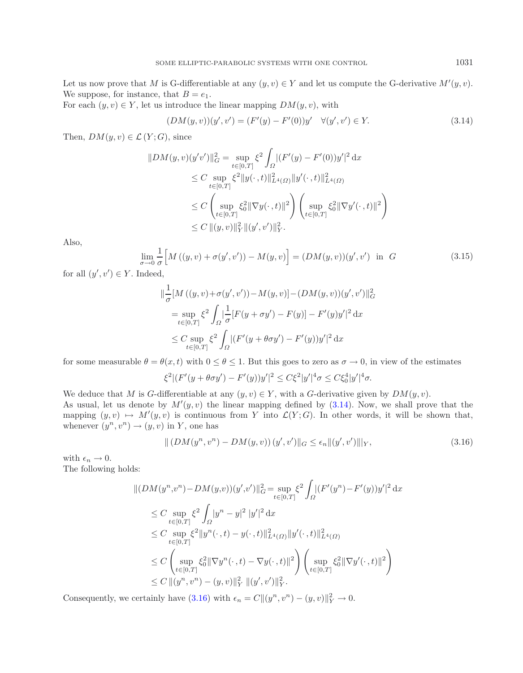Let us now prove that M is G-differentiable at any  $(y, v) \in Y$  and let us compute the G-derivative  $M'(y, v)$ . We suppose, for instance, that  $B = e_1$ .

For each 
$$
(y, v) \in Y
$$
, let us introduce the linear mapping  $DM(y, v)$ , with

<span id="page-14-0"></span>
$$
(DM(y, v))(y', v') = (F'(y) - F'(0))y' \quad \forall (y', v') \in Y.
$$
\n(3.14)

Then,  $DM(y, v) \in \mathcal{L}(Y; G)$ , since

$$
||DM(y, v)(y'v')||_G^2 = \sup_{t \in [0,T]} \xi^2 \int_{\Omega} |(F'(y) - F'(0))y'|^2 dx
$$
  
\n
$$
\leq C \sup_{t \in [0,T]} \xi^2 ||y(\cdot, t)||_{L^4(\Omega)}^2 ||y'(\cdot, t)||_{L^4(\Omega)}^2
$$
  
\n
$$
\leq C \left( \sup_{t \in [0,T]} \xi_0^2 ||\nabla y(\cdot, t)||^2 \right) \left( \sup_{t \in [0,T]} \xi_0^2 ||\nabla y'(\cdot, t)||^2 \right)
$$
  
\n
$$
\leq C ||(y, v)||_Y^2 ||(y', v')||_Y^2.
$$

Also,

$$
\lim_{\sigma \to 0} \frac{1}{\sigma} \Big[ M\left( (y, v) + \sigma(y', v') \right) - M(y, v) \Big] = (DM(y, v))(y', v') \quad \text{in } G
$$
\n
$$
(3.15)
$$

for all  $(y', v') \in Y$ . Indeed,

<span id="page-14-1"></span>
$$
\|\frac{1}{\sigma}[M((y, v)+\sigma(y', v')) - M(y, v)] - (DM(y, v))(y', v')\|_G^2
$$
  
= 
$$
\sup_{t \in [0,T]} \xi^2 \int_{\Omega} \left| \frac{1}{\sigma} [F(y + \sigma y') - F(y)] - F'(y)y'\right|^2 dx
$$
  

$$
\leq C \sup_{t \in [0,T]} \xi^2 \int_{\Omega} |(F'(y + \theta \sigma y') - F'(y))y'|^2 dx
$$

for some measurable  $\theta = \theta(x, t)$  with  $0 \le \theta \le 1$ . But this goes to zero as  $\sigma \to 0$ , in view of the estimates

$$
\xi^2 |(F'(y + \theta \sigma y') - F'(y))y'|^2 \le C \xi^2 |y'|^4 \sigma \le C \xi_0^4 |y'|^4 \sigma.
$$

We deduce that M is G-differentiable at any  $(y, v) \in Y$ , with a G-derivative given by  $DM(y, v)$ . As usual, let us denote by  $M'(y, v)$  the linear mapping defined by [\(3.14\)](#page-14-0). Now, we shall prove that the mapping  $(y, v) \mapsto M'(y, v)$  is continuous from Y into  $\mathcal{L}(Y; G)$ . In other words, it will be shown that, whenever  $(y^n, v^n) \rightarrow (y, v)$  in Y, one has

$$
\| (DM(y^n, v^n) - DM(y, v)) (y', v') \|_G \le \epsilon_n \| (y', v') \|_Y, \tag{3.16}
$$

with  $\epsilon_n \to 0$ . The following holds:

$$
\begin{split} &\|(DM(y^n, v^n) - DM(y, v))(y', v')\|_G^2 = \sup_{t \in [0,T]} \xi^2 \int_{\Omega} |(F'(y^n) - F'(y))y'|^2 dx \\ &\leq C \sup_{t \in [0,T]} \xi^2 \int_{\Omega} |y^n - y|^2 |y'|^2 dx \\ &\leq C \sup_{t \in [0,T]} \xi^2 \|y^n(\cdot, t) - y(\cdot, t)\|_{L^4(\Omega)}^2 \|y'(\cdot, t)\|_{L^4(\Omega)}^2 \\ &\leq C \left( \sup_{t \in [0,T]} \xi_0^2 \|\nabla y^n(\cdot, t) - \nabla y(\cdot, t)\|^2 \right) \left( \sup_{t \in [0,T]} \xi_0^2 \|\nabla y'(\cdot, t)\|^2 \right) \\ &\leq C \left( \|y^n, v^n) - (y, v)\|_Y^2 \ \|(y', v')\|_Y^2. \end{split}
$$

Consequently, we certainly have [\(3.16\)](#page-14-1) with  $\epsilon_n = C ||(y^n, v^n) - (y, v)||_Y^2 \to 0$ .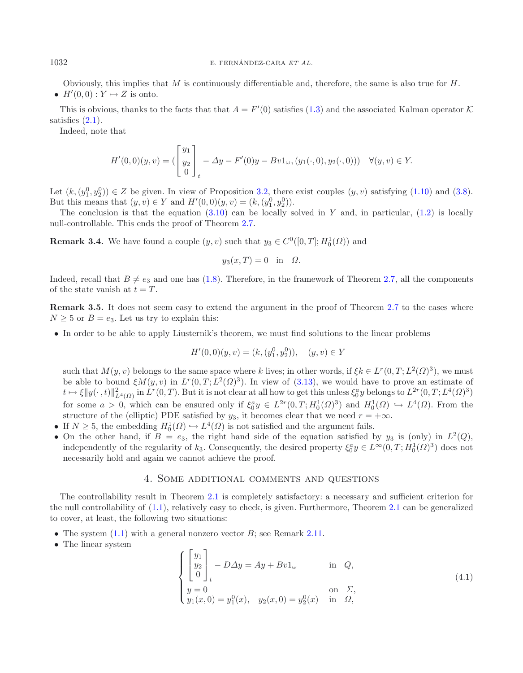Obviously, this implies that M is continuously differentiable and, therefore, the same is also true for  $H$ . •  $H'(0,0): Y \mapsto Z$  is onto.

This is obvious, thanks to the facts that that  $A = F'(0)$  satisfies [\(1.3\)](#page-1-0) and the associated Kalman operator K satisfies  $(2.1)$ .

Indeed, note that

$$
H'(0,0)(y,v) = \left(\begin{bmatrix} y_1 \\ y_2 \\ 0 \end{bmatrix}_{t} - \Delta y - F'(0)y - Bv1\omega, (y_1(\cdot,0), y_2(\cdot,0))) \quad \forall (y,v) \in Y.
$$

Let  $(k, (y_1^0, y_2^0)) \in Z$  be given. In view of Proposition [3.2,](#page-11-0) there exist couples  $(y, v)$  satisfying  $(1.10)$  and  $(3.8)$ . But this means that  $(y, v) \in Y$  and  $H'(0, 0)(y, v) = (k, (y_1^0, y_2^0))$ .

<span id="page-15-0"></span>The conclusion is that the equation  $(3.10)$  can be locally solved in Y and, in particular,  $(1.2)$  is locally null-controllable. This ends the proof of Theorem [2.7.](#page-7-0)

**Remark 3.4.** We have found a couple  $(y, v)$  such that  $y_3 \in C^0([0, T]; H_0^1(\Omega))$  and

$$
y_3(x,T) = 0 \quad \text{in} \quad \Omega.
$$

Indeed, recall that  $B \neq e_3$  and one has [\(1.8\)](#page-1-3). Therefore, in the framework of Theorem [2.7,](#page-7-0) all the components of the state vanish at  $t = T$ .

<span id="page-15-2"></span>**Remark 3.5.** It does not seem easy to extend the argument in the proof of Theorem [2.7](#page-7-0) to the cases where  $N \geq 5$  or  $B = e_3$ . Let us try to explain this:

• In order to be able to apply Liusternik's theorem, we must find solutions to the linear problems

$$
H'(0,0)(y,v) = (k, (y_1^0, y_2^0)), (y,v) \in Y
$$

such that  $M(y, v)$  belongs to the same space where k lives; in other words, if  $\xi k \in L^r(0, T; L^2(\Omega)^3)$ , we must be able to bound  $\xi M(y, v)$  in  $L^r(0, T; L^2(\Omega)^3)$ . In view of [\(3.13\)](#page-13-1), we would have to prove an estimate of  $t \mapsto \xi \|y(\cdot,t)\|_{L^4(\Omega)}^2$  in  $L^r(0,T)$ . But it is not clear at all how to get this unless  $\xi_0^a y$  belongs to  $L^{2r}(0,T;L^4(\Omega)^3)$ for some  $a > 0$ , which can be ensured only if  $\xi_0^a y \in L^{2r}(0,T; H_0^1(\Omega)^3)$  and  $H_0^1(\Omega) \hookrightarrow L^4(\Omega)$ . From the structure of the (elliptic) PDE satisfied by  $y_3$ , it becomes clear that we need  $r = +\infty$ .

- <span id="page-15-3"></span>• If  $N \geq 5$ , the embedding  $H_0^1(\Omega) \hookrightarrow L^4(\Omega)$  is not satisfied and the argument fails.
- On the other hand, if  $B = e_3$ , the right hand side of the equation satisfied by  $y_3$  is (only) in  $L^2(Q)$ , independently of the regularity of  $k_3$ . Consequently, the desired property  $\xi_0^a y \in L^\infty(0,T; H_0^1(\Omega)^3)$  does not necessarily hold and again we cannot achieve the proof.

### 4. Some additional comments and questions

<span id="page-15-1"></span>The controllability result in Theorem [2.1](#page-3-0) is completely satisfactory: a necessary and sufficient criterion for the null controllability of [\(1.1\)](#page-0-0), relatively easy to check, is given. Furthermore, Theorem [2.1](#page-3-0) can be generalized to cover, at least, the following two situations:

- The system  $(1.1)$  with a general nonzero vector B; see Remark [2.11.](#page-9-5)
- The linear system

$$
\begin{cases}\n\begin{bmatrix}\ny_1 \\
y_2 \\
0\n\end{bmatrix}_{t} - D\Delta y = Ay + Bv1_{\omega} & \text{in } Q, \\
y = 0 & \text{on } \Sigma, \\
y_1(x, 0) = y_1^0(x), y_2(x, 0) = y_2^0(x) & \text{in } \Omega,\n\end{cases}
$$
\n(4.1)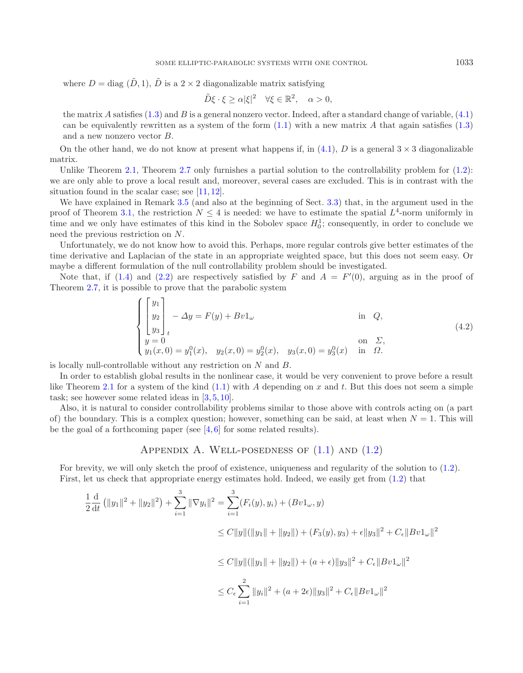where  $D = \text{diag}(\tilde{D}, 1), \tilde{D}$  is a  $2 \times 2$  diagonalizable matrix satisfying

$$
\tilde{D}\xi \cdot \xi \ge \alpha |\xi|^2 \quad \forall \xi \in \mathbb{R}^2, \quad \alpha > 0,
$$

the matrix A satisfies  $(1.3)$  and B is a general nonzero vector. Indeed, after a standard change of variable,  $(4.1)$ can be equivalently rewritten as a system of the form  $(1.1)$  with a new matrix A that again satisfies  $(1.3)$ and a new nonzero vector B.

On the other hand, we do not know at present what happens if, in  $(4.1)$ , D is a general  $3 \times 3$  diagonalizable matrix.

Unlike Theorem [2.1,](#page-3-0) Theorem [2.7](#page-7-0) only furnishes a partial solution to the controllability problem for  $(1.2)$ : we are only able to prove a local result and, moreover, several cases are excluded. This is in contrast with the situation found in the scalar case; see [\[11](#page-22-13), [12](#page-22-14)].

We have explained in Remark [3.5](#page-15-2) (and also at the beginning of Sect. [3.3\)](#page-12-2) that, in the argument used in the proof of Theorem [3.1,](#page-10-3) the restriction  $N \leq 4$  is needed: we have to estimate the spatial  $L^4$ -norm uniformly in time and we only have estimates of this kind in the Sobolev space  $H_0^1$ ; consequently, in order to conclude we need the previous restriction on N.

Unfortunately, we do not know how to avoid this. Perhaps, more regular controls give better estimates of the time derivative and Laplacian of the state in an appropriate weighted space, but this does not seem easy. Or maybe a different formulation of the null controllability problem should be investigated.

Note that, if  $(1.4)$  and  $(2.2)$  are respectively satisfied by F and  $A = F'(0)$ , arguing as in the proof of Theorem [2.7,](#page-7-0) it is possible to prove that the parabolic system

$$
\begin{cases}\n\begin{bmatrix}\ny_1 \\
y_2 \\
y_3\n\end{bmatrix}_t & \text{in } Q, \\
y = 0 & \text{on } \Sigma, \\
y_1(x, 0) = y_1^0(x), \quad y_2(x, 0) = y_2^0(x), \quad y_3(x, 0) = y_3^0(x) & \text{in } \Omega.\n\end{cases}
$$
\n(4.2)

is locally null-controllable without any restriction on N and B.

In order to establish global results in the nonlinear case, it would be very convenient to prove before a result like Theorem [2.1](#page-3-0) for a system of the kind  $(1.1)$  with A depending on x and t. But this does not seem a simple task; see however some related ideas in [\[3,](#page-22-15) [5,](#page-22-16) [10\]](#page-22-17).

Also, it is natural to consider controllability problems similar to those above with controls acting on (a part of) the boundary. This is a complex question; however, something can be said, at least when  $N = 1$ . This will be the goal of a forthcoming paper (see  $[4, 6]$  $[4, 6]$  $[4, 6]$  for some related results).

## APPENDIX A. WELL-POSEDNESS OF  $(1.1)$  AND  $(1.2)$

For brevity, we will only sketch the proof of existence, uniqueness and regularity of the solution to  $(1.2)$ . First, let us check that appropriate energy estimates hold. Indeed, we easily get from [\(1.2\)](#page-0-1) that

$$
\frac{1}{2} \frac{d}{dt} (||y_1||^2 + ||y_2||^2) + \sum_{i=1}^3 ||\nabla y_i||^2 = \sum_{i=1}^3 (F_i(y), y_i) + (Bv1\omega, y)
$$
  
\n
$$
\leq C ||y|| (||y_1|| + ||y_2||) + (F_3(y), y_3) + \epsilon ||y_3||^2 + C_{\epsilon} ||Bv1\omega||^2
$$
  
\n
$$
\leq C ||y|| (||y_1|| + ||y_2||) + (a + \epsilon) ||y_3||^2 + C_{\epsilon} ||Bv1\omega||^2
$$
  
\n
$$
\leq C_{\epsilon} \sum_{i=1}^2 ||y_i||^2 + (a + 2\epsilon) ||y_3||^2 + C_{\epsilon} ||Bv1\omega||^2
$$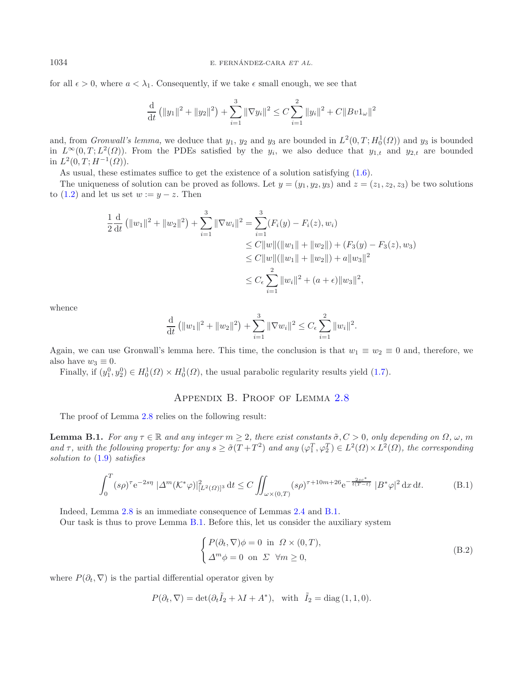for all  $\epsilon > 0$ , where  $a < \lambda_1$ . Consequently, if we take  $\epsilon$  small enough, we see that

$$
\frac{\mathrm{d}}{\mathrm{d}t} \left( \|y_1\|^2 + \|y_2\|^2 \right) + \sum_{i=1}^3 \|\nabla y_i\|^2 \le C \sum_{i=1}^2 \|y_i\|^2 + C \|Bv1_\omega\|^2
$$

and, from *Gronwall's lemma*, we deduce that  $y_1$ ,  $y_2$  and  $y_3$  are bounded in  $L^2(0,T; H_0^1(\Omega))$  and  $y_3$  is bounded in  $L^{\infty}(0,T;L^{2}(\Omega))$ . From the PDEs satisfied by the  $y_{i}$ , we also deduce that  $y_{1,t}$  and  $y_{2,t}$  are bounded in  $L^2(0,T;H^{-1}(\Omega)).$ 

As usual, these estimates suffice to get the existence of a solution satisfying [\(1.6\)](#page-1-4).

The uniqueness of solution can be proved as follows. Let  $y = (y_1, y_2, y_3)$  and  $z = (z_1, z_2, z_3)$  be two solutions to [\(1.2\)](#page-0-1) and let us set  $w := y - z$ . Then

$$
\frac{1}{2} \frac{d}{dt} (||w_1||^2 + ||w_2||^2) + \sum_{i=1}^3 ||\nabla w_i||^2 = \sum_{i=1}^3 (F_i(y) - F_i(z), w_i)
$$
  
\n
$$
\leq C ||w|| (||w_1|| + ||w_2||) + (F_3(y) - F_3(z), w_3)
$$
  
\n
$$
\leq C ||w|| (||w_1|| + ||w_2||) + a ||w_3||^2
$$
  
\n
$$
\leq C_{\epsilon} \sum_{i=1}^2 ||w_i||^2 + (a + \epsilon) ||w_3||^2,
$$

<span id="page-17-1"></span>whence

$$
\frac{\mathrm{d}}{\mathrm{d}t} \left( \|w_1\|^2 + \|w_2\|^2 \right) + \sum_{i=1}^3 \|\nabla w_i\|^2 \le C_\epsilon \sum_{i=1}^2 \|w_i\|^2.
$$

Again, we can use Gronwall's lemma here. This time, the conclusion is that  $w_1 \equiv w_2 \equiv 0$  and, therefore, we also have  $w_3 \equiv 0$ .

Finally, if  $(y_1^0, y_2^0) \in H_0^1(\Omega) \times H_0^1(\Omega)$ , the usual parabolic regularity results yield [\(1.7\)](#page-1-5).

## <span id="page-17-0"></span>Appendix B. Proof of Lemma [2.8](#page-7-2)

The proof of Lemma [2.8](#page-7-2) relies on the following result:

**Lemma B.1.** *For any*  $\tau \in \mathbb{R}$  *and any integer*  $m \geq 2$ *, there exist constants*  $\tilde{\sigma}$ *,*  $C > 0$ *, only depending on*  $\Omega$ *,*  $\omega$ *, m* and  $\tau$ , with the following property: for any  $s \geq \tilde{\sigma}(T+T^2)$  and any  $(\varphi_1^T, \varphi_2^T) \in L^2(\Omega) \times L^2(\Omega)$ , the corresponding *solution to* [\(1.9\)](#page-2-1) *satisfies*

$$
\int_0^T (s\rho)^\tau e^{-2s\eta} \left| \Delta^m (K^* \varphi) \right|_{[L^2(\Omega)]^3}^2 dt \le C \iint_{\omega \times (0,T)} (s\rho)^{\tau+10m+26} e^{-\frac{2sc^*}{t(T-t)}} \left| B^* \varphi \right|^2 dx dt.
$$
 (B.1)

Indeed, Lemma [2.8](#page-7-2) is an immediate consequence of Lemmas [2.4](#page-5-0) and [B.1.](#page-3-0)

Our task is thus to prove Lemma [B.1.](#page-3-0) Before this, let us consider the auxiliary system

$$
\begin{cases}\nP(\partial_t, \nabla)\phi = 0 \text{ in } \Omega \times (0, T), \\
\Delta^m \phi = 0 \text{ on } \Sigma \ \forall m \ge 0,\n\end{cases}
$$
\n(B.2)

where  $P(\partial_t, \nabla)$  is the partial differential operator given by

$$
P(\partial_t, \nabla) = \det(\partial_t \tilde{I}_2 + \lambda I + A^*), \text{ with } \tilde{I}_2 = \text{diag}(1, 1, 0).
$$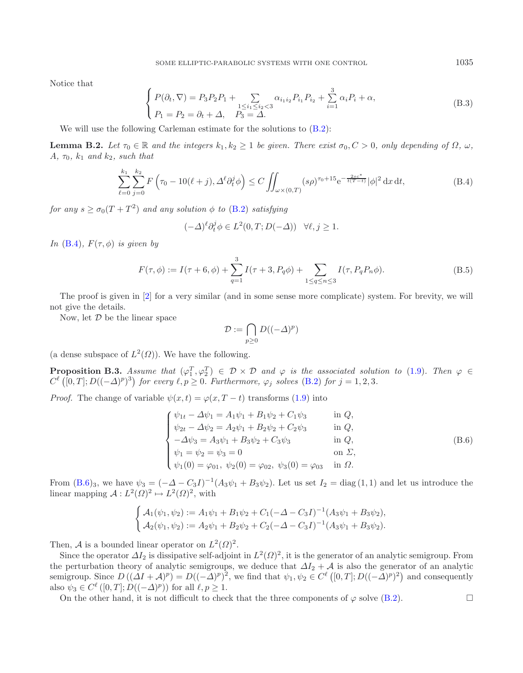<span id="page-18-0"></span>Notice that

$$
\begin{cases}\nP(\partial_t, \nabla) = P_3 P_2 P_1 + \sum_{1 \le i_1 \le i_2 < 3} \alpha_{i_1 i_2} P_{i_1} P_{i_2} + \sum_{i=1}^3 \alpha_i P_i + \alpha, \\
P_1 = P_2 = \partial_t + \Delta, \quad P_3 = \Delta.\n\end{cases} \tag{B.3}
$$

We will use the following Carleman estimate for the solutions to [\(B.2\)](#page-17-0):

**Lemma B.2.** Let  $\tau_0 \in \mathbb{R}$  and the integers  $k_1, k_2 \geq 1$  be given. There exist  $\sigma_0, C > 0$ , only depending of  $\Omega$ ,  $\omega$ ,  $A, \tau_0, k_1$  *and*  $k_2$ *, such that* 

$$
\sum_{\ell=0}^{k_1} \sum_{j=0}^{k_2} F\left(\tau_0 - 10(\ell+j), \Delta^{\ell} \partial_t^j \phi\right) \le C \iint_{\omega \times (0,T)} (s\rho)^{\tau_0 + 15} e^{-\frac{2sc^*}{t(T-t)}} |\phi|^2 dx dt, \tag{B.4}
$$

*for any*  $s \geq \sigma_0(T + T^2)$  *and any solution*  $\phi$  *to* [\(B.2\)](#page-17-0) *satisfying* 

$$
(-\Delta)^{\ell} \partial_t^j \phi \in L^2(0, T; D(-\Delta)) \quad \forall \ell, j \ge 1.
$$

*In* (**B.4**)*,*  $F(\tau, \phi)$  *is given by* 

$$
F(\tau, \phi) := I(\tau + 6, \phi) + \sum_{q=1}^{3} I(\tau + 3, P_q \phi) + \sum_{1 \le q \le n \le 3} I(\tau, P_q P_n \phi).
$$
 (B.5)

The proof is given in [\[2](#page-22-9)] for a very similar (and in some sense more complicate) system. For brevity, we will not give the details.

Now, let  $D$  be the linear space

<span id="page-18-1"></span>
$$
\mathcal{D} := \bigcap_{p \ge 0} D((-\Delta)^p)
$$

(a dense subspace of  $L^2(\Omega)$ ). We have the following.

**Proposition B.3.** Assume that  $(\varphi_1^T, \varphi_2^T) \in \mathcal{D} \times \mathcal{D}$  and  $\varphi$  is the associated solution to [\(1.9\)](#page-2-1). Then  $\varphi \in$  $C^{\ell}([0,T];D((-\Delta)^p)^3)$  for every  $\ell, p \geq 0$ . Furthermore,  $\varphi_j$  solves [\(B.2\)](#page-17-0) for  $j = 1, 2, 3$ .

*Proof.* The change of variable  $\psi(x,t) = \varphi(x,T-t)$  transforms [\(1.9\)](#page-2-1) into

$$
\begin{cases}\n\psi_{1t} - \Delta \psi_1 = A_1 \psi_1 + B_1 \psi_2 + C_1 \psi_3 & \text{in } Q, \\
\psi_{2t} - \Delta \psi_2 = A_2 \psi_1 + B_2 \psi_2 + C_2 \psi_3 & \text{in } Q, \\
-\Delta \psi_3 = A_3 \psi_1 + B_3 \psi_2 + C_3 \psi_3 & \text{in } Q, \\
\psi_1 = \psi_2 = \psi_3 = 0 & \text{on } \Sigma, \\
\psi_1(0) = \varphi_{01}, \ \psi_2(0) = \varphi_{02}, \ \psi_3(0) = \varphi_{03} & \text{in } \Omega.\n\end{cases}
$$
\n(B.6)

From  $(B.6)_3$  $(B.6)_3$ , we have  $\psi_3 = (-\Delta - C_3 I)^{-1} (A_3 \psi_1 + B_3 \psi_2)$ . Let us set  $I_2 = \text{diag}(1,1)$  and let us introduce the linear mapping  $\mathcal{A}: L^2(\Omega)^2 \mapsto L^2(\Omega)^2$ , with

$$
\begin{cases}\n\mathcal{A}_1(\psi_1, \psi_2) := A_1 \psi_1 + B_1 \psi_2 + C_1 (-\Delta - C_3 I)^{-1} (A_3 \psi_1 + B_3 \psi_2), \\
\mathcal{A}_2(\psi_1, \psi_2) := A_2 \psi_1 + B_2 \psi_2 + C_2 (-\Delta - C_3 I)^{-1} (A_3 \psi_1 + B_3 \psi_2).\n\end{cases}
$$

Then, A is a bounded linear operator on  $L^2(\Omega)^2$ .

Since the operator  $\Delta I_2$  is dissipative self-adjoint in  $L^2(\Omega)^2$ , it is the generator of an analytic semigroup. From the perturbation theory of analytic semigroups, we deduce that  $\Delta I_2 + A$  is also the generator of an analytic semigroup. Since  $D((\Delta I + \mathcal{A})^p) = D((-\Delta)^p)^2$ , we find that  $\psi_1, \psi_2 \in C^{\ell}([0, T]; D((-\Delta)^p)^2)$  and consequently also  $\psi_3 \in C^{\ell}([0,T]; D((-\Delta)^p))$  for all  $\ell, p \geq 1$ .

On the other hand, it is not difficult to check that the three components of  $\varphi$  solve [\(B.2\)](#page-17-0).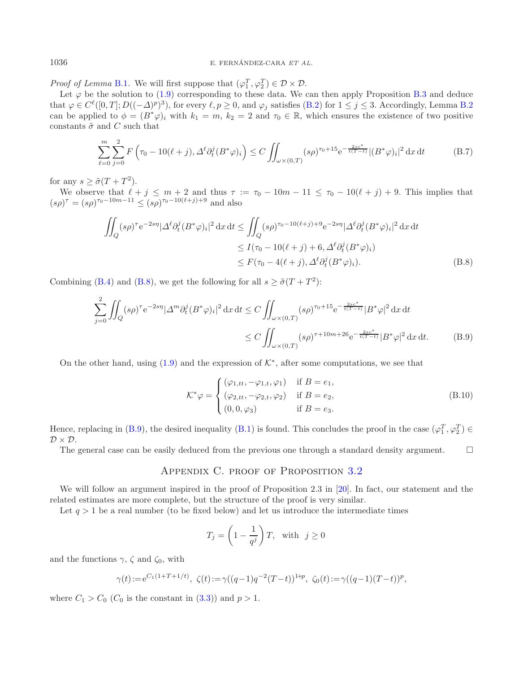*Proof of Lemma* [B.1](#page-3-0). We will first suppose that  $(\varphi_1^T, \varphi_2^T) \in \mathcal{D} \times \mathcal{D}$ .

Let  $\varphi$  be the solution to [\(1.9\)](#page-2-1) corresponding to these data. We can then apply Proposition [B.3](#page-4-1) and deduce that  $\varphi \in C^{\ell}([0,T]; D((-\Delta)^p)^3)$ , for every  $\ell, p \ge 0$ , and  $\varphi_j$  satisfies [\(B.2\)](#page-17-0) for  $1 \le j \le 3$ . Accordingly, Lemma [B.2](#page-3-4) can be applied to  $\phi = (B^*\varphi)_i$  with  $k_1 = m$ ,  $k_2 = 2$  and  $\tau_0 \in \mathbb{R}$ , which ensures the existence of two positive constants  $\tilde{\sigma}$  and C such that

<span id="page-19-0"></span>
$$
\sum_{\ell=0}^{m} \sum_{j=0}^{2} F\left(\tau_0 - 10(\ell+j), \Delta^{\ell} \partial_t^j (B^* \varphi)_i\right) \le C \iint_{\omega \times (0,T)} (s\rho)^{\tau_0 + 15} e^{-\frac{2sc^*}{t(T-t)}} |(B^* \varphi)_i|^2 dx dt \tag{B.7}
$$

for any  $s \geq \tilde{\sigma}(T + T^2)$ .

We observe that  $\ell + j \leq m + 2$  and thus  $\tau := \tau_0 - 10m - 11 \leq \tau_0 - 10(\ell + j) + 9$ . This implies that  $(s\rho)^{\tau} = (s\rho)^{\tau_0 - 10m - 11} \le (s\rho)^{\tau_0 - 10(\ell + j) + 9}$  and also

$$
\iint_{Q} (s\rho)^{\tau} e^{-2s\eta} |\Delta^{\ell} \partial_t^j (B^* \varphi)_i|^2 dx dt \le \iint_{Q} (s\rho)^{\tau_0 - 10(\ell + j) + 9} e^{-2s\eta} |\Delta^{\ell} \partial_t^j (B^* \varphi)_i|^2 dx dt
$$
  
\n
$$
\le I(\tau_0 - 10(\ell + j) + 6, \Delta^{\ell} \partial_t^j (B^* \varphi)_i)
$$
  
\n
$$
\le F(\tau_0 - 4(\ell + j), \Delta^{\ell} \partial_t^j (B^* \varphi)_i).
$$
 (B.8)

Combining [\(B.4\)](#page-18-0) and [\(B.8\)](#page-19-0), we get the following for all  $s \geq \tilde{\sigma}(T+T^2)$ :

$$
\sum_{j=0}^{2} \iint_{Q} (s\rho)^{\tau} e^{-2s\eta} |\Delta^{m} \partial_{t}^{j} (B^{*} \varphi)_{i}|^{2} dx dt \le C \iint_{\omega \times (0,T)} (s\rho)^{\tau_{0}+15} e^{-\frac{2sc^{*}}{t(T-t)}} |B^{*} \varphi|^{2} dx dt
$$
  

$$
\le C \iint_{\omega \times (0,T)} (s\rho)^{\tau+10m+26} e^{-\frac{2sc^{*}}{t(T-t)}} |B^{*} \varphi|^{2} dx dt.
$$
 (B.9)

On the other hand, using  $(1.9)$  and the expression of  $\mathcal{K}^*$ , after some computations, we see that

<span id="page-19-1"></span>
$$
\mathcal{K}^*\varphi = \begin{cases}\n(\varphi_{1,tt}, -\varphi_{1,t}, \varphi_1) & \text{if } B = e_1, \\
(\varphi_{2,tt}, -\varphi_{2,t}, \varphi_2) & \text{if } B = e_2, \\
(0, 0, \varphi_3) & \text{if } B = e_3.\n\end{cases}
$$
\n(B.10)

Hence, replacing in [\(B.9\)](#page-19-1), the desired inequality [\(B.1\)](#page-17-1) is found. This concludes the proof in the case  $(\varphi_1^T, \varphi_2^T) \in$  $\mathcal{D}\times\mathcal{D}$ .

The general case can be easily deduced from the previous one through a standard density argument.  $\Box$ 

## Appendix C. proof of Proposition [3.2](#page-11-0)

We will follow an argument inspired in the proof of Proposition 2.3 in [\[20\]](#page-22-8). In fact, our statement and the related estimates are more complete, but the structure of the proof is very similar.

Let  $q > 1$  be a real number (to be fixed below) and let us introduce the intermediate times

$$
T_j = \left(1 - \frac{1}{q^j}\right)T, \text{ with } j \ge 0
$$

and the functions  $\gamma$ ,  $\zeta$  and  $\zeta_0$ , with

$$
\gamma(t) := e^{C_1(1+T+1/t)}, \ \zeta(t) := \gamma((q-1)q^{-2}(T-t))^{1+p}, \ \zeta_0(t) := \gamma((q-1)(T-t))^p,
$$

where  $C_1 > C_0$  ( $C_0$  is the constant in [\(3.3\)](#page-10-2)) and  $p > 1$ .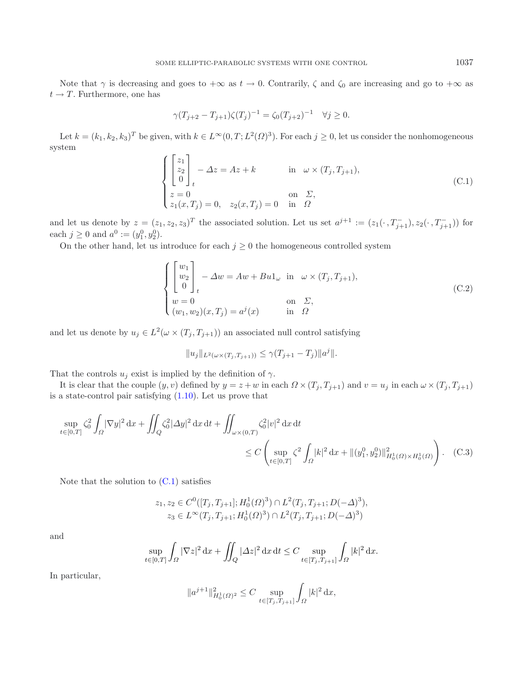<span id="page-20-0"></span>Note that  $\gamma$  is decreasing and goes to  $+\infty$  as  $t \to 0$ . Contrarily,  $\zeta$  and  $\zeta_0$  are increasing and go to  $+\infty$  as  $t \rightarrow T$ . Furthermore, one has

$$
\gamma (T_{j+2} - T_{j+1}) \zeta (T_j)^{-1} = \zeta_0 (T_{j+2})^{-1} \quad \forall j \ge 0.
$$

Let  $k = (k_1, k_2, k_3)^T$  be given, with  $k \in L^{\infty}(0, T; L^2(\Omega)^3)$ . For each  $j \ge 0$ , let us consider the nonhomogeneous system

$$
\begin{cases}\n\begin{bmatrix}\nz_1 \\
z_2 \\
0\n\end{bmatrix}\n\end{cases}\n-\Delta z = Az + k \n\text{ in } \omega \times (T_j, T_{j+1}), \\
z = 0 \n\text{ on } \Sigma, \\
z_1(x, T_j) = 0, \quad z_2(x, T_j) = 0 \n\text{ in } \Omega\n\end{cases}
$$
\n(C.1)

and let us denote by  $z = (z_1, z_2, z_3)^T$  the associated solution. Let us set  $a^{j+1} := (z_1(\cdot, T_{j+1}^-), z_2(\cdot, T_{j+1}^-))$  for each  $j \ge 0$  and  $a^0 := (y_1^0, y_2^0)$ .

On the other hand, let us introduce for each  $j \geq 0$  the homogeneous controlled system

$$
\begin{cases}\n\begin{bmatrix}\nw_1 \\
w_2 \\
0\n\end{bmatrix}_t - \Delta w = Aw + Bu1_\omega \text{ in } \omega \times (T_j, T_{j+1}), \\
w = 0 \quad \text{on } \Sigma, \\
(w_1, w_2)(x, T_j) = a^j(x) \quad \text{in } \Omega\n\end{cases}
$$
\n(C.2)

and let us denote by  $u_j \in L^2(\omega \times (T_j, T_{j+1}))$  an associated null control satisfying

<span id="page-20-1"></span>
$$
||u_j||_{L^2(\omega \times (T_j, T_{j+1}))} \leq \gamma (T_{j+1} - T_j) ||a^j||.
$$

That the controls  $u_j$  exist is implied by the definition of  $\gamma$ .

It is clear that the couple  $(y, v)$  defined by  $y = z + w$  in each  $\Omega \times (T_j, T_{j+1})$  and  $v = u_j$  in each  $\omega \times (T_j, T_{j+1})$ is a state-control pair satisfying [\(1.10\)](#page-2-0). Let us prove that

$$
\sup_{t \in [0,T]} \zeta_0^2 \int_{\Omega} |\nabla y|^2 \, dx + \iint_Q \zeta_0^2 |\Delta y|^2 \, dx \, dt + \iint_{\omega \times (0,T)} \zeta_0^2 |v|^2 \, dx \, dt
$$
  

$$
\leq C \left( \sup_{t \in [0,T]} \zeta^2 \int_{\Omega} |k|^2 \, dx + \|(y_1^0, y_2^0)\|_{H_0^1(\Omega) \times H_0^1(\Omega)}^2 \right). \tag{C.3}
$$

Note that the solution to  $(C.1)$  satisfies

$$
z_1, z_2 \in C^0([T_j, T_{j+1}]; H_0^1(\Omega)^3) \cap L^2(T_j, T_{j+1}; D(-\Delta)^3),
$$
  

$$
z_3 \in L^\infty(T_j, T_{j+1}; H_0^1(\Omega)^3) \cap L^2(T_j, T_{j+1}; D(-\Delta)^3)
$$

and

$$
\sup_{t \in [0,T]} \int_{\Omega} |\nabla z|^2 \, \mathrm{d} x + \iint_{Q} |\Delta z|^2 \, \mathrm{d} x \, \mathrm{d} t \leq C \sup_{t \in [T_j, T_{j+1}]} \int_{\Omega} |k|^2 \, \mathrm{d} x.
$$

In particular,

$$
||a^{j+1}||_{H_0^1(\Omega)^2}^2 \le C \sup_{t \in [T_j, T_{j+1}]} \int_{\Omega} |k|^2 \, \mathrm{d}x,
$$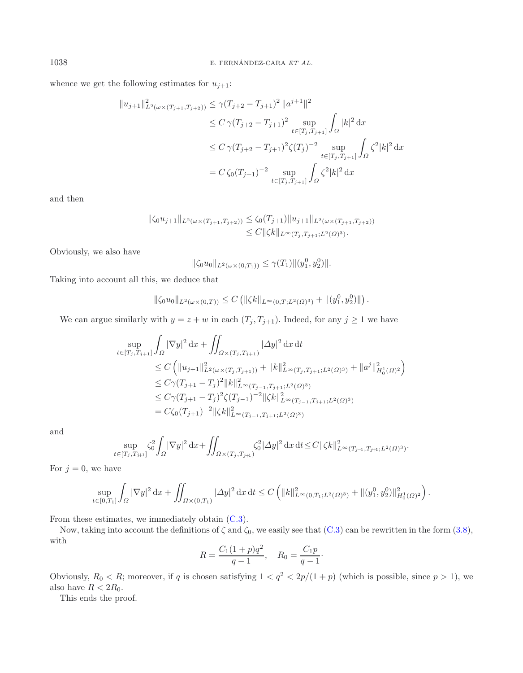whence we get the following estimates for  $u_{i+1}$ :

$$
||u_{j+1}||_{L^{2}(\omega\times(T_{j+1},T_{j+2}))}^{2} \leq \gamma(T_{j+2}-T_{j+1})^{2} ||a^{j+1}||^{2}
$$
  
\n
$$
\leq C \gamma(T_{j+2}-T_{j+1})^{2} \sup_{t\in[T_{j},T_{j+1}]} \int_{\Omega} |k|^{2} dx
$$
  
\n
$$
\leq C \gamma(T_{j+2}-T_{j+1})^{2} \zeta(T_{j})^{-2} \sup_{t\in[T_{j},T_{j+1}]} \int_{\Omega} \zeta^{2} |k|^{2} dx
$$
  
\n
$$
= C \zeta_{0}(T_{j+1})^{-2} \sup_{t\in[T_{j},T_{j+1}]} \int_{\Omega} \zeta^{2} |k|^{2} dx
$$

and then

$$
\|\zeta_0 u_{j+1}\|_{L^2(\omega \times (T_{j+1}, T_{j+2}))} \leq \zeta_0(T_{j+1}) \|u_{j+1}\|_{L^2(\omega \times (T_{j+1}, T_{j+2}))}
$$
  

$$
\leq C \|\zeta k\|_{L^\infty(T_j, T_{j+1}; L^2(\Omega)^3)}.
$$

Obviously, we also have

$$
\|\zeta_0 u_0\|_{L^2(\omega \times (0,T_1))} \le \gamma(T_1) \|(y_1^0, y_2^0)\|.
$$

Taking into account all this, we deduce that

$$
\|\zeta_0 u_0\|_{L^2(\omega \times (0,T))} \leq C \left( \|\zeta k\|_{L^\infty(0,T;L^2(\Omega)^3)} + \|(y_1^0, y_2^0)\|\right).
$$

We can argue similarly with  $y = z + w$  in each  $(T_j, T_{j+1})$ . Indeed, for any  $j \ge 1$  we have

$$
\sup_{t \in [T_j, T_{j+1}]} \int_{\Omega} |\nabla y|^2 \, dx + \iint_{\Omega \times (T_j, T_{j+1})} |\Delta y|^2 \, dx \, dt
$$
\n
$$
\leq C \left( \|u_{j+1}\|_{L^2(\omega \times (T_j, T_{j+1}))}^2 + \|k\|_{L^\infty(T_j, T_{j+1}; L^2(\Omega)^3)}^2 + \|a^j\|_{H_0^1(\Omega)^2}^2 \right)
$$
\n
$$
\leq C \gamma (T_{j+1} - T_j)^2 \|k\|_{L^\infty(T_{j-1}, T_{j+1}; L^2(\Omega)^3)}^2
$$
\n
$$
\leq C \gamma (T_{j+1} - T_j)^2 \zeta (T_{j-1})^{-2} \|\zeta k\|_{L^\infty(T_{j-1}, T_{j+1}; L^2(\Omega)^3)}^2
$$
\n
$$
= C \zeta_0 (T_{j+1})^{-2} \|\zeta k\|_{L^\infty(T_{j-1}, T_{j+1}; L^2(\Omega)^3)}^2
$$

and

$$
\sup_{t \in [T_j, T_{j+1}]} \zeta_0^2 \int_{\Omega} |\nabla y|^2 \, \mathrm{d} x + \iint_{\Omega \times (T_j, T_{j+1})} \zeta_0^2 |\Delta y|^2 \, \mathrm{d} x \, \mathrm{d} t \le C \| \zeta k \|_{L^\infty (T_{j-1}, T_{j+1}; L^2(\Omega))^3}^2.
$$

For  $j = 0$ , we have

$$
\sup_{t\in[0,T_1]}\int_{\Omega}|\nabla y|^2\,\mathrm{d} x+\iint_{\Omega\times(0,T_1)}|\Delta y|^2\,\mathrm{d} x\,\mathrm{d} t\leq C\left(\|k\|_{L^\infty(0,T_1;L^2(\Omega)^3)}^2+\|(y_1^0,y_2^0)\|_{H_0^1(\Omega)^2}^2\right).
$$

From these estimates, we immediately obtain [\(C.3\)](#page-20-1).

Now, taking into account the definitions of  $\zeta$  and  $\zeta_0$ , we easily see that [\(C.3\)](#page-20-1) can be rewritten in the form [\(3.8\)](#page-11-1), with

$$
R = \frac{C_1(1+p)q^2}{q-1}, \quad R_0 = \frac{C_1p}{q-1}.
$$

Obviously,  $R_0 < R$ ; moreover, if q is chosen satisfying  $1 < q^2 < 2p/(1+p)$  (which is possible, since  $p > 1$ ), we also have  $R < 2R_0$ .

This ends the proof.